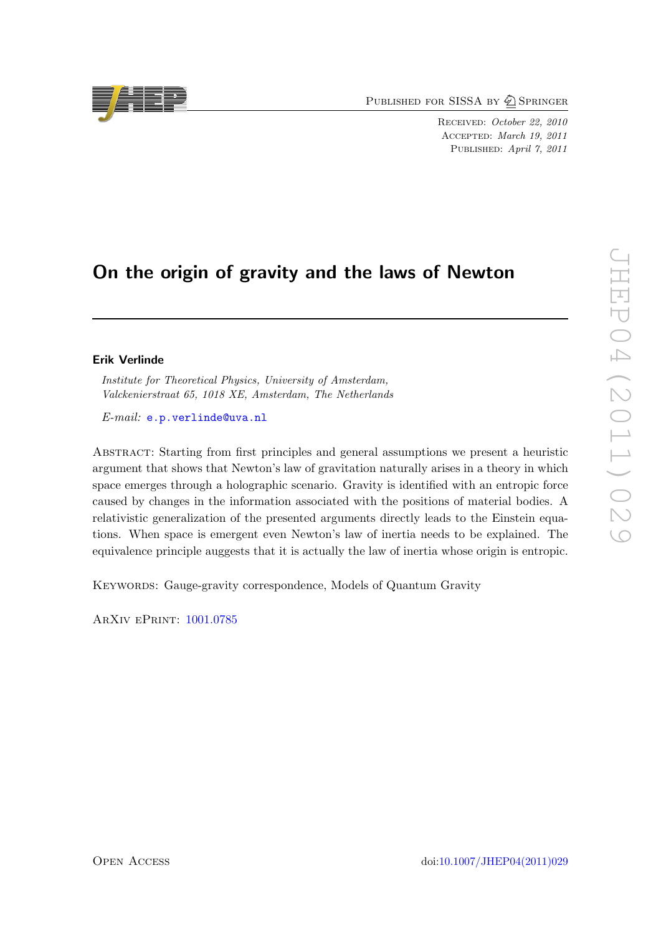PUBLISHED FOR SISSA BY 2 SPRINGER

Received: October 22, 2010 Accepted: March 19, 2011 PUBLISHED: April 7, 2011

# On the origin of gravity and the laws of Newton

# Erik Verlinde

Institute for Theoretical Physics, University of Amsterdam, Valckenierstraat 65, 1018 XE, Amsterdam, The Netherlands

E-mail: [e.p.verlinde@uva.nl](mailto:e.p.verlinde@uva.nl)

Abstract: Starting from first principles and general assumptions we present a heuristic argument that shows that Newton's law of gravitation naturally arises in a theory in which space emerges through a holographic scenario. Gravity is identified with an entropic force caused by changes in the information associated with the positions of material bodies. A relativistic generalization of the presented arguments directly leads to the Einstein equations. When space is emergent even Newton's law of inertia needs to be explained. The equivalence principle auggests that it is actually the law of inertia whose origin is entropic.

KEYWORDS: Gauge-gravity correspondence, Models of Quantum Gravity

ArXiv ePrint: [1001.0785](http://arxiv.org/abs/1001.0785)

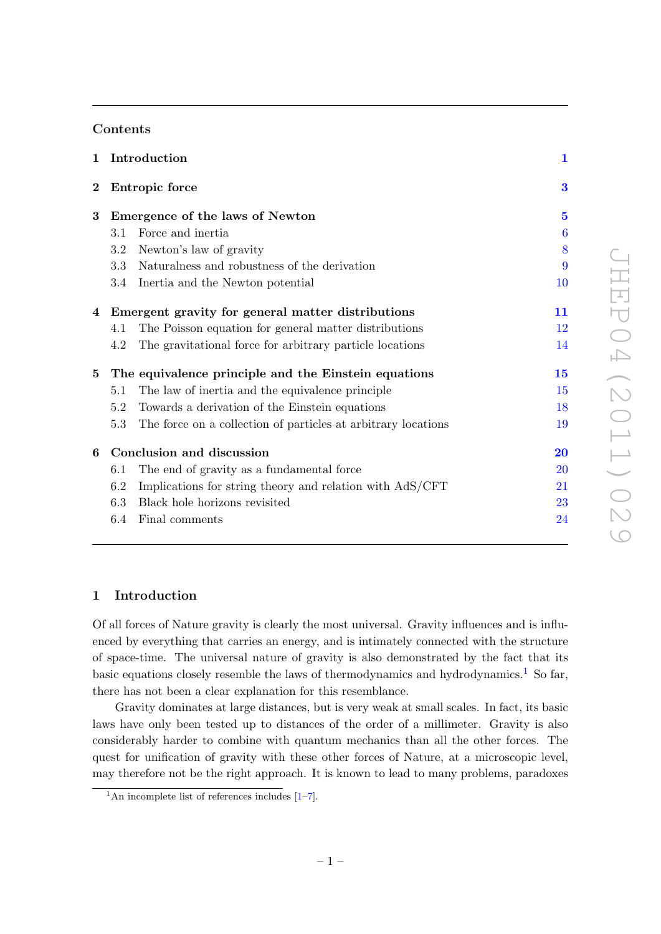# Contents

| $\mathbf{1}$    | Introduction                                                         | $\mathbf{1}$        |
|-----------------|----------------------------------------------------------------------|---------------------|
| $\bf{2}$        | Entropic force                                                       | 3                   |
| 3               | Emergence of the laws of Newton                                      | $\overline{5}$      |
|                 | Force and inertia<br>3.1                                             | $\boldsymbol{6}$    |
|                 | Newton's law of gravity<br>3.2                                       | 8                   |
|                 | Naturalness and robustness of the derivation<br>3.3                  | 9                   |
|                 | 3.4<br>Inertia and the Newton potential                              | 10                  |
|                 | 4 Emergent gravity for general matter distributions                  | 11                  |
|                 | The Poisson equation for general matter distributions<br>4.1         | 12                  |
|                 | The gravitational force for arbitrary particle locations<br>4.2      | 14                  |
| $5\phantom{.0}$ | The equivalence principle and the Einstein equations                 | $\bf 15$            |
|                 | The law of inertia and the equivalence principle<br>5.1              | 15                  |
|                 | 5.2<br>Towards a derivation of the Einstein equations                | 18                  |
|                 | 5.3<br>The force on a collection of particles at arbitrary locations | 19                  |
| 6               | Conclusion and discussion                                            | $\overline{\bf 20}$ |
|                 | The end of gravity as a fundamental force<br>6.1                     | 20                  |
|                 | 6.2<br>Implications for string theory and relation with AdS/CFT      | 21                  |
|                 | Black hole horizons revisited<br>6.3                                 | 23                  |
|                 | Final comments<br>6.4                                                | 24                  |
|                 |                                                                      |                     |

# <span id="page-1-0"></span>1 Introduction

Of all forces of Nature gravity is clearly the most universal. Gravity influences and is influenced by everything that carries an energy, and is intimately connected with the structure of space-time. The universal nature of gravity is also demonstrated by the fact that its basic equations closely resemble the laws of thermodynamics and hydrodynamics.<sup>[1](#page-1-1)</sup> So far, there has not been a clear explanation for this resemblance.

Gravity dominates at large distances, but is very weak at small scales. In fact, its basic laws have only been tested up to distances of the order of a millimeter. Gravity is also considerably harder to combine with quantum mechanics than all the other forces. The quest for unification of gravity with these other forces of Nature, at a microscopic level, may therefore not be the right approach. It is known to lead to many problems, paradoxes

<span id="page-1-1"></span> $\frac{1}{1}$ An incomplete list of references includes [\[1](#page-26-0)[–7\]](#page-26-1).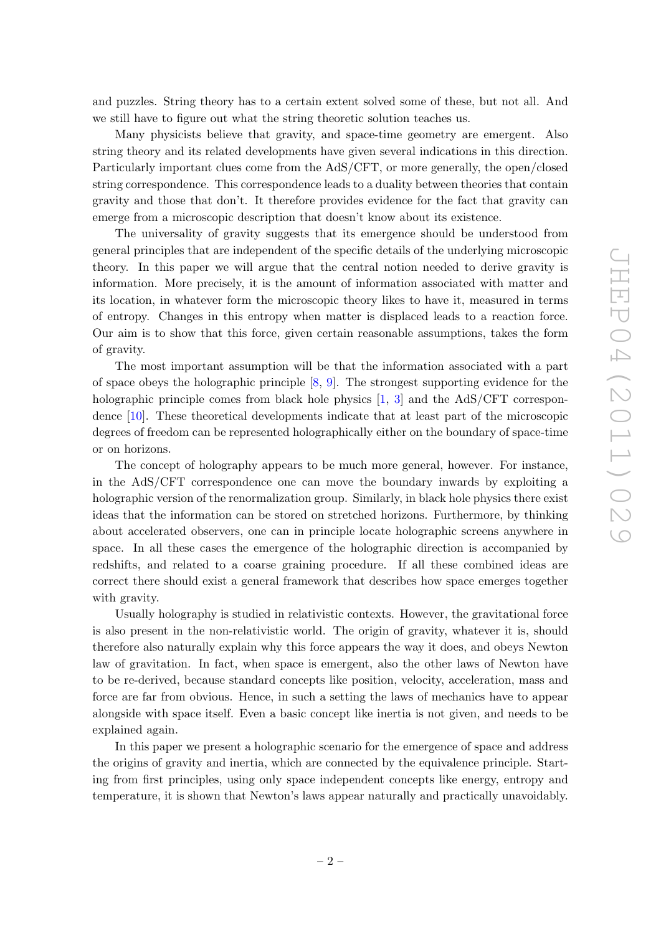and puzzles. String theory has to a certain extent solved some of these, but not all. And we still have to figure out what the string theoretic solution teaches us.

Many physicists believe that gravity, and space-time geometry are emergent. Also string theory and its related developments have given several indications in this direction. Particularly important clues come from the AdS/CFT, or more generally, the open/closed string correspondence. This correspondence leads to a duality between theories that contain gravity and those that don't. It therefore provides evidence for the fact that gravity can emerge from a microscopic description that doesn't know about its existence.

The universality of gravity suggests that its emergence should be understood from general principles that are independent of the specific details of the underlying microscopic theory. In this paper we will argue that the central notion needed to derive gravity is information. More precisely, it is the amount of information associated with matter and its location, in whatever form the microscopic theory likes to have it, measured in terms of entropy. Changes in this entropy when matter is displaced leads to a reaction force. Our aim is to show that this force, given certain reasonable assumptions, takes the form of gravity.

The most important assumption will be that the information associated with a part of space obeys the holographic principle [\[8,](#page-26-2) [9\]](#page-26-3). The strongest supporting evidence for the holographic principle comes from black hole physics [\[1,](#page-26-0) [3\]](#page-26-4) and the AdS/CFT correspondence [\[10\]](#page-26-5). These theoretical developments indicate that at least part of the microscopic degrees of freedom can be represented holographically either on the boundary of space-time or on horizons.

The concept of holography appears to be much more general, however. For instance, in the AdS/CFT correspondence one can move the boundary inwards by exploiting a holographic version of the renormalization group. Similarly, in black hole physics there exist ideas that the information can be stored on stretched horizons. Furthermore, by thinking about accelerated observers, one can in principle locate holographic screens anywhere in space. In all these cases the emergence of the holographic direction is accompanied by redshifts, and related to a coarse graining procedure. If all these combined ideas are correct there should exist a general framework that describes how space emerges together with gravity.

Usually holography is studied in relativistic contexts. However, the gravitational force is also present in the non-relativistic world. The origin of gravity, whatever it is, should therefore also naturally explain why this force appears the way it does, and obeys Newton law of gravitation. In fact, when space is emergent, also the other laws of Newton have to be re-derived, because standard concepts like position, velocity, acceleration, mass and force are far from obvious. Hence, in such a setting the laws of mechanics have to appear alongside with space itself. Even a basic concept like inertia is not given, and needs to be explained again.

In this paper we present a holographic scenario for the emergence of space and address the origins of gravity and inertia, which are connected by the equivalence principle. Starting from first principles, using only space independent concepts like energy, entropy and temperature, it is shown that Newton's laws appear naturally and practically unavoidably.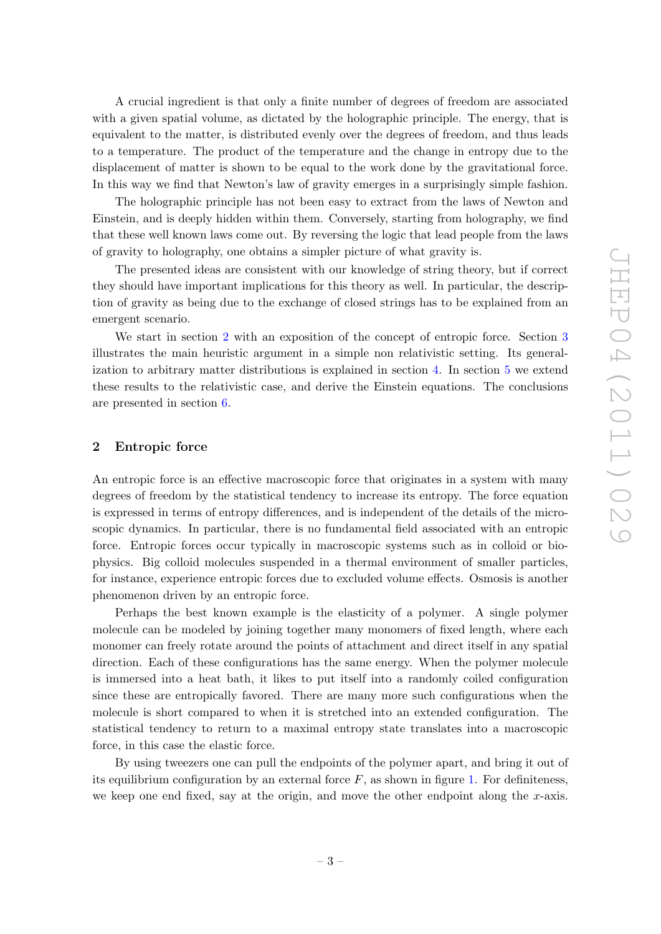A crucial ingredient is that only a finite number of degrees of freedom are associated with a given spatial volume, as dictated by the holographic principle. The energy, that is equivalent to the matter, is distributed evenly over the degrees of freedom, and thus leads to a temperature. The product of the temperature and the change in entropy due to the displacement of matter is shown to be equal to the work done by the gravitational force. In this way we find that Newton's law of gravity emerges in a surprisingly simple fashion.

The holographic principle has not been easy to extract from the laws of Newton and Einstein, and is deeply hidden within them. Conversely, starting from holography, we find that these well known laws come out. By reversing the logic that lead people from the laws of gravity to holography, one obtains a simpler picture of what gravity is.

The presented ideas are consistent with our knowledge of string theory, but if correct they should have important implications for this theory as well. In particular, the description of gravity as being due to the exchange of closed strings has to be explained from an emergent scenario.

We start in section [2](#page-3-0) with an exposition of the concept of entropic force. Section [3](#page-5-0) illustrates the main heuristic argument in a simple non relativistic setting. Its generalization to arbitrary matter distributions is explained in section [4.](#page-11-0) In section [5](#page-15-0) we extend these results to the relativistic case, and derive the Einstein equations. The conclusions are presented in section [6.](#page-20-0)

# <span id="page-3-0"></span>2 Entropic force

An entropic force is an effective macroscopic force that originates in a system with many degrees of freedom by the statistical tendency to increase its entropy. The force equation is expressed in terms of entropy differences, and is independent of the details of the microscopic dynamics. In particular, there is no fundamental field associated with an entropic force. Entropic forces occur typically in macroscopic systems such as in colloid or biophysics. Big colloid molecules suspended in a thermal environment of smaller particles, for instance, experience entropic forces due to excluded volume effects. Osmosis is another phenomenon driven by an entropic force.

Perhaps the best known example is the elasticity of a polymer. A single polymer molecule can be modeled by joining together many monomers of fixed length, where each monomer can freely rotate around the points of attachment and direct itself in any spatial direction. Each of these configurations has the same energy. When the polymer molecule is immersed into a heat bath, it likes to put itself into a randomly coiled configuration since these are entropically favored. There are many more such configurations when the molecule is short compared to when it is stretched into an extended configuration. The statistical tendency to return to a maximal entropy state translates into a macroscopic force, in this case the elastic force.

By using tweezers one can pull the endpoints of the polymer apart, and bring it out of its equilibrium configuration by an external force  $F$ , as shown in figure [1.](#page-4-0) For definiteness, we keep one end fixed, say at the origin, and move the other endpoint along the  $x$ -axis.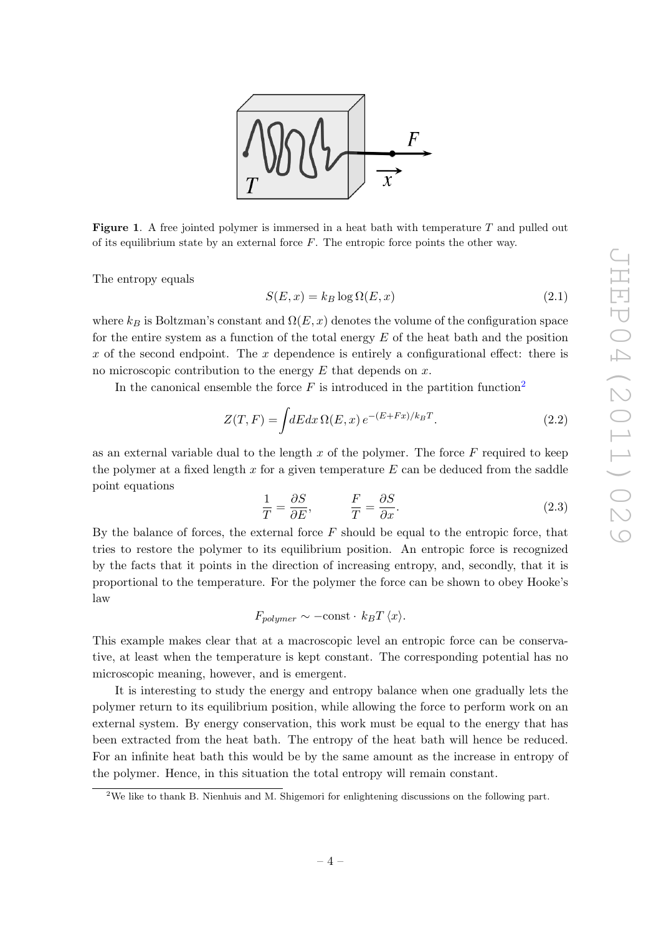

<span id="page-4-0"></span>**Figure 1.** A free jointed polymer is immersed in a heat bath with temperature  $T$  and pulled out of its equilibrium state by an external force  $F$ . The entropic force points the other way.

The entropy equals

$$
S(E, x) = k_B \log \Omega(E, x) \tag{2.1}
$$

where  $k_B$  is Boltzman's constant and  $\Omega(E, x)$  denotes the volume of the configuration space for the entire system as a function of the total energy  $E$  of the heat bath and the position x of the second endpoint. The x dependence is entirely a configurational effect: there is no microscopic contribution to the energy  $E$  that depends on  $x$ .

In the canonical ensemble the force  $F$  is introduced in the partition function<sup>[2](#page-4-1)</sup>

$$
Z(T, F) = \int dE dx \,\Omega(E, x) \, e^{-(E + Fx)/k_B T}.\tag{2.2}
$$

as an external variable dual to the length  $x$  of the polymer. The force  $F$  required to keep the polymer at a fixed length x for a given temperature  $E$  can be deduced from the saddle point equations

<span id="page-4-2"></span>
$$
\frac{1}{T} = \frac{\partial S}{\partial E}, \qquad \frac{F}{T} = \frac{\partial S}{\partial x}.
$$
\n(2.3)

By the balance of forces, the external force  $F$  should be equal to the entropic force, that tries to restore the polymer to its equilibrium position. An entropic force is recognized by the facts that it points in the direction of increasing entropy, and, secondly, that it is proportional to the temperature. For the polymer the force can be shown to obey Hooke's law

$$
F_{polymer} \sim -\text{const} \cdot k_B T \langle x \rangle.
$$

This example makes clear that at a macroscopic level an entropic force can be conservative, at least when the temperature is kept constant. The corresponding potential has no microscopic meaning, however, and is emergent.

It is interesting to study the energy and entropy balance when one gradually lets the polymer return to its equilibrium position, while allowing the force to perform work on an external system. By energy conservation, this work must be equal to the energy that has been extracted from the heat bath. The entropy of the heat bath will hence be reduced. For an infinite heat bath this would be by the same amount as the increase in entropy of the polymer. Hence, in this situation the total entropy will remain constant.

<span id="page-4-1"></span><sup>&</sup>lt;sup>2</sup>We like to thank B. Nienhuis and M. Shigemori for enlightening discussions on the following part.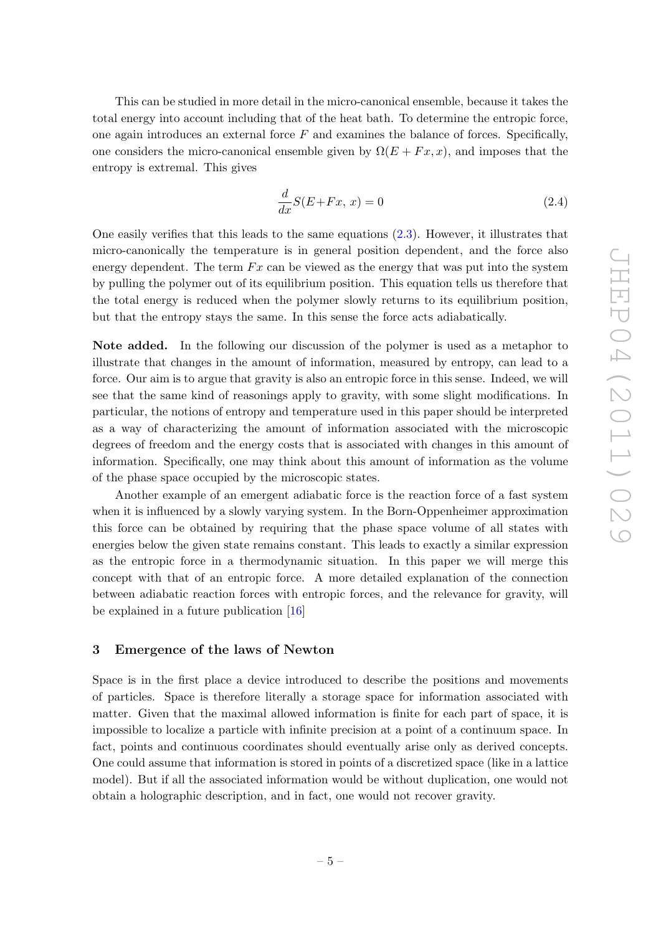This can be studied in more detail in the micro-canonical ensemble, because it takes the total energy into account including that of the heat bath. To determine the entropic force, one again introduces an external force  $F$  and examines the balance of forces. Specifically, one considers the micro-canonical ensemble given by  $\Omega(E + F x, x)$ , and imposes that the entropy is extremal. This gives

<span id="page-5-1"></span>
$$
\frac{d}{dx}S(E+Fx,\,x) = 0\tag{2.4}
$$

One easily verifies that this leads to the same equations [\(2.3\)](#page-4-2). However, it illustrates that micro-canonically the temperature is in general position dependent, and the force also energy dependent. The term  $Fx$  can be viewed as the energy that was put into the system by pulling the polymer out of its equilibrium position. This equation tells us therefore that the total energy is reduced when the polymer slowly returns to its equilibrium position, but that the entropy stays the same. In this sense the force acts adiabatically.

Note added. In the following our discussion of the polymer is used as a metaphor to illustrate that changes in the amount of information, measured by entropy, can lead to a force. Our aim is to argue that gravity is also an entropic force in this sense. Indeed, we will see that the same kind of reasonings apply to gravity, with some slight modifications. In particular, the notions of entropy and temperature used in this paper should be interpreted as a way of characterizing the amount of information associated with the microscopic degrees of freedom and the energy costs that is associated with changes in this amount of information. Specifically, one may think about this amount of information as the volume of the phase space occupied by the microscopic states.

Another example of an emergent adiabatic force is the reaction force of a fast system when it is influenced by a slowly varying system. In the Born-Oppenheimer approximation this force can be obtained by requiring that the phase space volume of all states with energies below the given state remains constant. This leads to exactly a similar expression as the entropic force in a thermodynamic situation. In this paper we will merge this concept with that of an entropic force. A more detailed explanation of the connection between adiabatic reaction forces with entropic forces, and the relevance for gravity, will be explained in a future publication [\[16\]](#page-26-6)

# <span id="page-5-0"></span>3 Emergence of the laws of Newton

Space is in the first place a device introduced to describe the positions and movements of particles. Space is therefore literally a storage space for information associated with matter. Given that the maximal allowed information is finite for each part of space, it is impossible to localize a particle with infinite precision at a point of a continuum space. In fact, points and continuous coordinates should eventually arise only as derived concepts. One could assume that information is stored in points of a discretized space (like in a lattice model). But if all the associated information would be without duplication, one would not obtain a holographic description, and in fact, one would not recover gravity.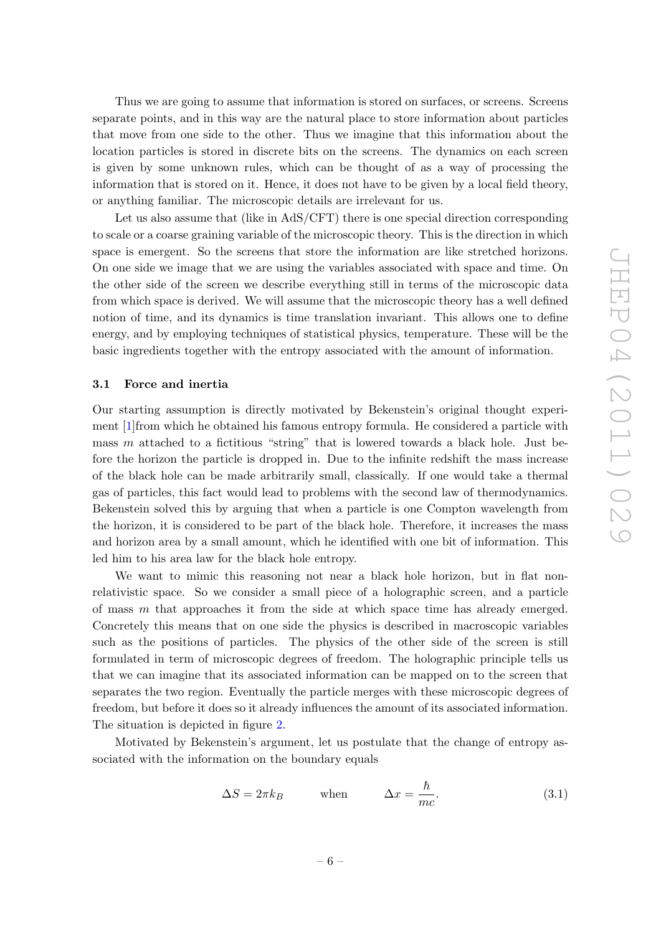Thus we are going to assume that information is stored on surfaces, or screens. Screens separate points, and in this way are the natural place to store information about particles that move from one side to the other. Thus we imagine that this information about the location particles is stored in discrete bits on the screens. The dynamics on each screen is given by some unknown rules, which can be thought of as a way of processing the information that is stored on it. Hence, it does not have to be given by a local field theory, or anything familiar. The microscopic details are irrelevant for us.

Let us also assume that (like in AdS/CFT) there is one special direction corresponding to scale or a coarse graining variable of the microscopic theory. This is the direction in which space is emergent. So the screens that store the information are like stretched horizons. On one side we image that we are using the variables associated with space and time. On the other side of the screen we describe everything still in terms of the microscopic data from which space is derived. We will assume that the microscopic theory has a well defined notion of time, and its dynamics is time translation invariant. This allows one to define energy, and by employing techniques of statistical physics, temperature. These will be the basic ingredients together with the entropy associated with the amount of information.

## <span id="page-6-0"></span>3.1 Force and inertia

Our starting assumption is directly motivated by Bekenstein's original thought experiment [\[1\]](#page-26-0)from which he obtained his famous entropy formula. He considered a particle with mass  $m$  attached to a fictitious "string" that is lowered towards a black hole. Just before the horizon the particle is dropped in. Due to the infinite redshift the mass increase of the black hole can be made arbitrarily small, classically. If one would take a thermal gas of particles, this fact would lead to problems with the second law of thermodynamics. Bekenstein solved this by arguing that when a particle is one Compton wavelength from the horizon, it is considered to be part of the black hole. Therefore, it increases the mass and horizon area by a small amount, which he identified with one bit of information. This led him to his area law for the black hole entropy.

We want to mimic this reasoning not near a black hole horizon, but in flat nonrelativistic space. So we consider a small piece of a holographic screen, and a particle of mass  $m$  that approaches it from the side at which space time has already emerged. Concretely this means that on one side the physics is described in macroscopic variables such as the positions of particles. The physics of the other side of the screen is still formulated in term of microscopic degrees of freedom. The holographic principle tells us that we can imagine that its associated information can be mapped on to the screen that separates the two region. Eventually the particle merges with these microscopic degrees of freedom, but before it does so it already influences the amount of its associated information. The situation is depicted in figure [2.](#page-7-0)

Motivated by Bekenstein's argument, let us postulate that the change of entropy associated with the information on the boundary equals

<span id="page-6-1"></span>
$$
\Delta S = 2\pi k_B \qquad \text{when} \qquad \Delta x = \frac{\hbar}{mc}.\tag{3.1}
$$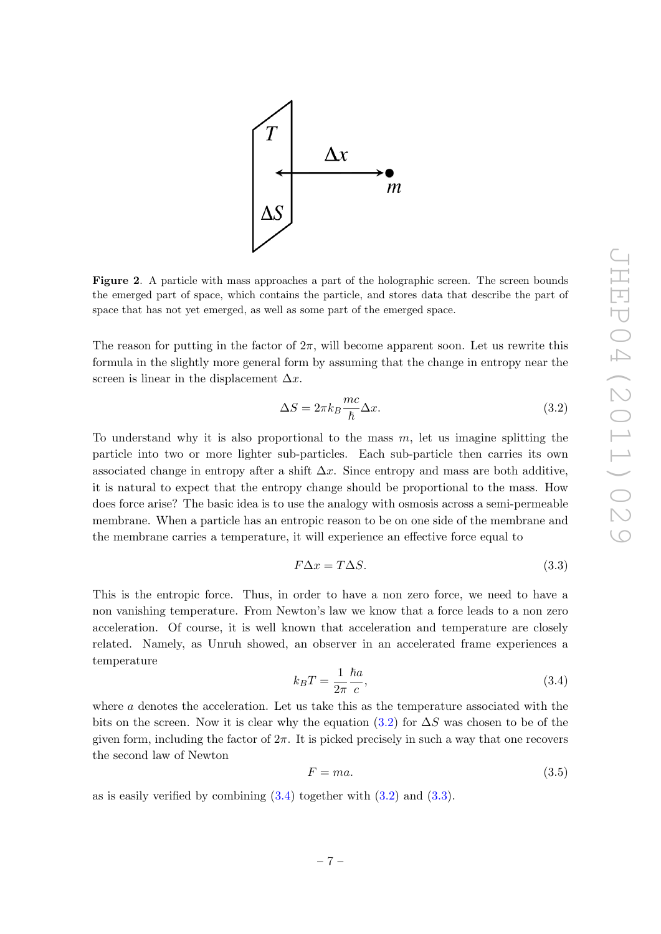

<span id="page-7-0"></span>Figure 2. A particle with mass approaches a part of the holographic screen. The screen bounds the emerged part of space, which contains the particle, and stores data that describe the part of space that has not yet emerged, as well as some part of the emerged space.

The reason for putting in the factor of  $2\pi$ , will become apparent soon. Let us rewrite this formula in the slightly more general form by assuming that the change in entropy near the screen is linear in the displacement  $\Delta x$ .

<span id="page-7-1"></span>
$$
\Delta S = 2\pi k_B \frac{mc}{\hbar} \Delta x.
$$
\n(3.2)

To understand why it is also proportional to the mass  $m$ , let us imagine splitting the particle into two or more lighter sub-particles. Each sub-particle then carries its own associated change in entropy after a shift  $\Delta x$ . Since entropy and mass are both additive, it is natural to expect that the entropy change should be proportional to the mass. How does force arise? The basic idea is to use the analogy with osmosis across a semi-permeable membrane. When a particle has an entropic reason to be on one side of the membrane and the membrane carries a temperature, it will experience an effective force equal to

<span id="page-7-3"></span>
$$
F\Delta x = T\Delta S. \tag{3.3}
$$

This is the entropic force. Thus, in order to have a non zero force, we need to have a non vanishing temperature. From Newton's law we know that a force leads to a non zero acceleration. Of course, it is well known that acceleration and temperature are closely related. Namely, as Unruh showed, an observer in an accelerated frame experiences a temperature

<span id="page-7-2"></span>
$$
k_B T = \frac{1}{2\pi} \frac{\hbar a}{c},\tag{3.4}
$$

where  $a$  denotes the acceleration. Let us take this as the temperature associated with the bits on the screen. Now it is clear why the equation [\(3.2\)](#page-7-1) for  $\Delta S$  was chosen to be of the given form, including the factor of  $2\pi$ . It is picked precisely in such a way that one recovers the second law of Newton

$$
F = ma.\tag{3.5}
$$

as is easily verified by combining  $(3.4)$  together with  $(3.2)$  and  $(3.3)$ .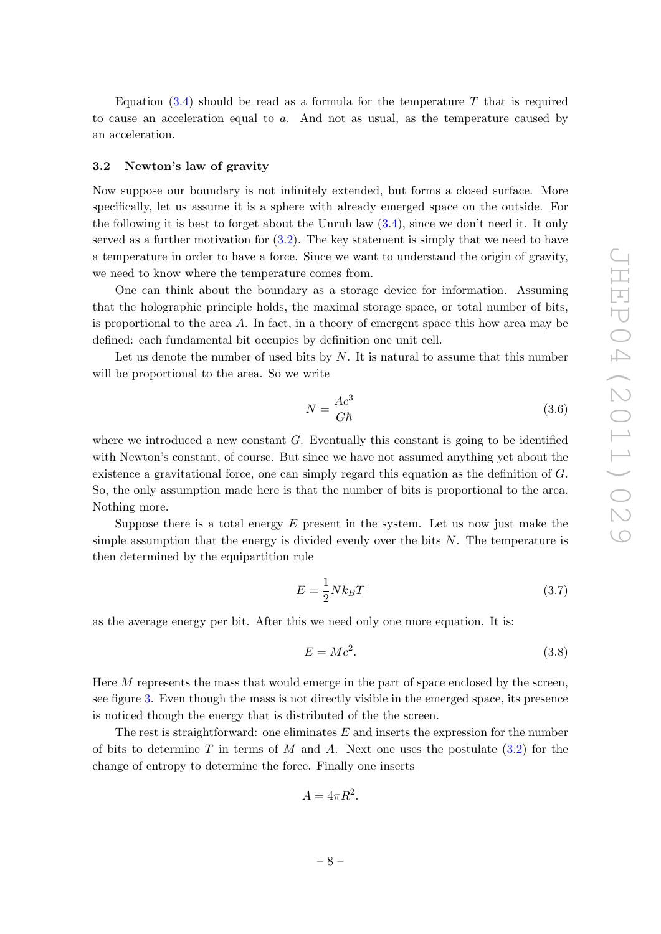Equation  $(3.4)$  should be read as a formula for the temperature T that is required to cause an acceleration equal to  $a$ . And not as usual, as the temperature caused by an acceleration.

## <span id="page-8-0"></span>3.2 Newton's law of gravity

Now suppose our boundary is not infinitely extended, but forms a closed surface. More specifically, let us assume it is a sphere with already emerged space on the outside. For the following it is best to forget about the Unruh law [\(3.4\)](#page-7-2), since we don't need it. It only served as a further motivation for  $(3.2)$ . The key statement is simply that we need to have a temperature in order to have a force. Since we want to understand the origin of gravity, we need to know where the temperature comes from.

One can think about the boundary as a storage device for information. Assuming that the holographic principle holds, the maximal storage space, or total number of bits, is proportional to the area  $A$ . In fact, in a theory of emergent space this how area may be defined: each fundamental bit occupies by definition one unit cell.

Let us denote the number of used bits by  $N$ . It is natural to assume that this number will be proportional to the area. So we write

<span id="page-8-1"></span>
$$
N = \frac{Ac^3}{G\hbar} \tag{3.6}
$$

where we introduced a new constant  $G$ . Eventually this constant is going to be identified with Newton's constant, of course. But since we have not assumed anything yet about the existence a gravitational force, one can simply regard this equation as the definition of G. So, the only assumption made here is that the number of bits is proportional to the area. Nothing more.

Suppose there is a total energy  $E$  present in the system. Let us now just make the simple assumption that the energy is divided evenly over the bits  $N$ . The temperature is then determined by the equipartition rule

<span id="page-8-2"></span>
$$
E = \frac{1}{2} N k_B T \tag{3.7}
$$

as the average energy per bit. After this we need only one more equation. It is:

$$
E = Mc^2. \tag{3.8}
$$

Here M represents the mass that would emerge in the part of space enclosed by the screen, see figure [3.](#page-9-1) Even though the mass is not directly visible in the emerged space, its presence is noticed though the energy that is distributed of the the screen.

The rest is straightforward: one eliminates  $E$  and inserts the expression for the number of bits to determine T in terms of M and A. Next one uses the postulate  $(3.2)$  for the change of entropy to determine the force. Finally one inserts

$$
A = 4\pi R^2.
$$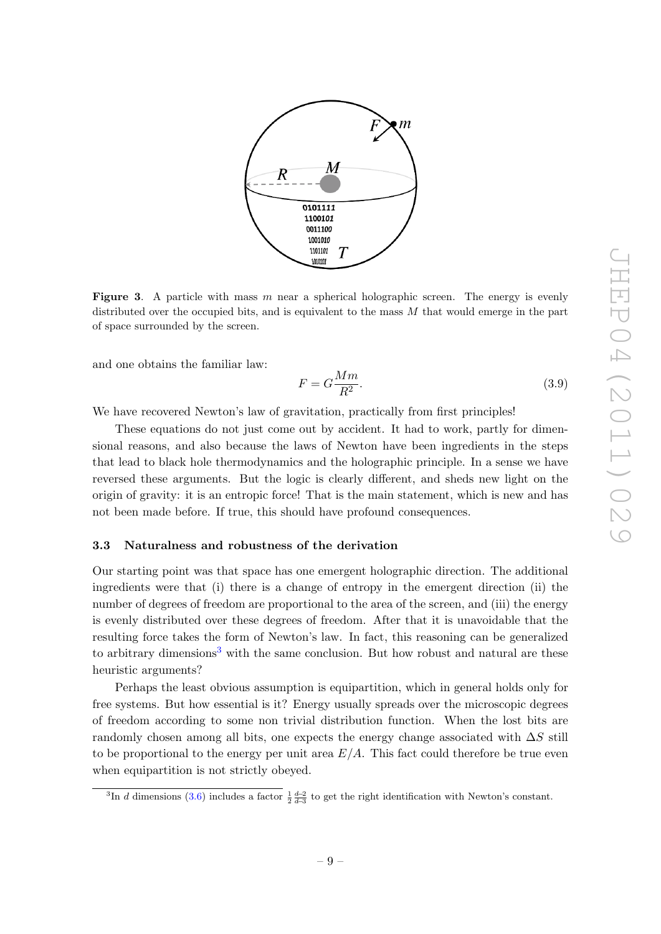

<span id="page-9-1"></span>**Figure 3.** A particle with mass  $m$  near a spherical holographic screen. The energy is evenly distributed over the occupied bits, and is equivalent to the mass  $M$  that would emerge in the part of space surrounded by the screen.

and one obtains the familiar law:

$$
F = G \frac{Mm}{R^2}.\tag{3.9}
$$

We have recovered Newton's law of gravitation, practically from first principles!

These equations do not just come out by accident. It had to work, partly for dimensional reasons, and also because the laws of Newton have been ingredients in the steps that lead to black hole thermodynamics and the holographic principle. In a sense we have reversed these arguments. But the logic is clearly different, and sheds new light on the origin of gravity: it is an entropic force! That is the main statement, which is new and has not been made before. If true, this should have profound consequences.

#### <span id="page-9-0"></span>3.3 Naturalness and robustness of the derivation

Our starting point was that space has one emergent holographic direction. The additional ingredients were that (i) there is a change of entropy in the emergent direction (ii) the number of degrees of freedom are proportional to the area of the screen, and (iii) the energy is evenly distributed over these degrees of freedom. After that it is unavoidable that the resulting force takes the form of Newton's law. In fact, this reasoning can be generalized to arbitrary dimensions<sup>[3](#page-9-2)</sup> with the same conclusion. But how robust and natural are these heuristic arguments?

Perhaps the least obvious assumption is equipartition, which in general holds only for free systems. But how essential is it? Energy usually spreads over the microscopic degrees of freedom according to some non trivial distribution function. When the lost bits are randomly chosen among all bits, one expects the energy change associated with  $\Delta S$  still to be proportional to the energy per unit area  $E/A$ . This fact could therefore be true even when equipartition is not strictly obeyed.

<span id="page-9-2"></span><sup>&</sup>lt;sup>3</sup>In d dimensions [\(3.6\)](#page-8-1) includes a factor  $\frac{1}{2}\frac{d-2}{d-3}$  to get the right identification with Newton's constant.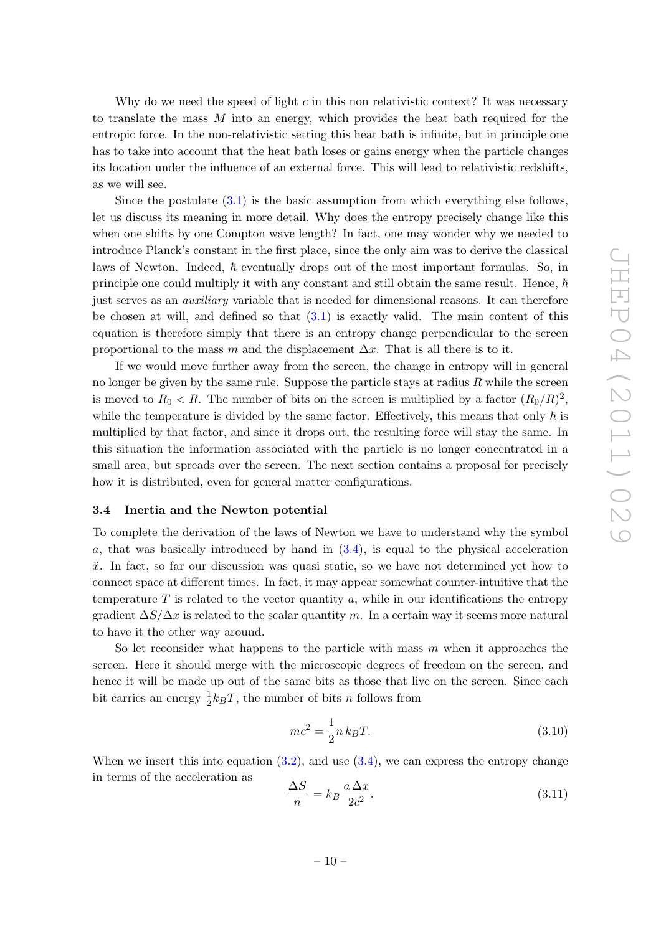Why do we need the speed of light c in this non relativistic context? It was necessary to translate the mass M into an energy, which provides the heat bath required for the entropic force. In the non-relativistic setting this heat bath is infinite, but in principle one has to take into account that the heat bath loses or gains energy when the particle changes its location under the influence of an external force. This will lead to relativistic redshifts, as we will see.

Since the postulate [\(3.1\)](#page-6-1) is the basic assumption from which everything else follows, let us discuss its meaning in more detail. Why does the entropy precisely change like this when one shifts by one Compton wave length? In fact, one may wonder why we needed to introduce Planck's constant in the first place, since the only aim was to derive the classical laws of Newton. Indeed,  $\hbar$  eventually drops out of the most important formulas. So, in principle one could multiply it with any constant and still obtain the same result. Hence,  $\hbar$ just serves as an *auxiliary* variable that is needed for dimensional reasons. It can therefore be chosen at will, and defined so that  $(3.1)$  is exactly valid. The main content of this equation is therefore simply that there is an entropy change perpendicular to the screen proportional to the mass m and the displacement  $\Delta x$ . That is all there is to it.

If we would move further away from the screen, the change in entropy will in general no longer be given by the same rule. Suppose the particle stays at radius  $R$  while the screen is moved to  $R_0 < R$ . The number of bits on the screen is multiplied by a factor  $(R_0/R)^2$ , while the temperature is divided by the same factor. Effectively, this means that only  $\hbar$  is multiplied by that factor, and since it drops out, the resulting force will stay the same. In this situation the information associated with the particle is no longer concentrated in a small area, but spreads over the screen. The next section contains a proposal for precisely how it is distributed, even for general matter configurations.

#### <span id="page-10-0"></span>3.4 Inertia and the Newton potential

To complete the derivation of the laws of Newton we have to understand why the symbol a, that was basically introduced by hand in  $(3.4)$ , is equal to the physical acceleration  $\ddot{x}$ . In fact, so far our discussion was quasi static, so we have not determined yet how to connect space at different times. In fact, it may appear somewhat counter-intuitive that the temperature  $T$  is related to the vector quantity  $a$ , while in our identifications the entropy gradient  $\Delta S/\Delta x$  is related to the scalar quantity m. In a certain way it seems more natural to have it the other way around.

So let reconsider what happens to the particle with mass  $m$  when it approaches the screen. Here it should merge with the microscopic degrees of freedom on the screen, and hence it will be made up out of the same bits as those that live on the screen. Since each bit carries an energy  $\frac{1}{2}k_BT$ , the number of bits n follows from

$$
mc^2 = \frac{1}{2}n \, k_B T. \tag{3.10}
$$

When we insert this into equation  $(3.2)$ , and use  $(3.4)$ , we can express the entropy change in terms of the acceleration as

$$
\frac{\Delta S}{n} = k_B \frac{a \Delta x}{2c^2}.
$$
\n(3.11)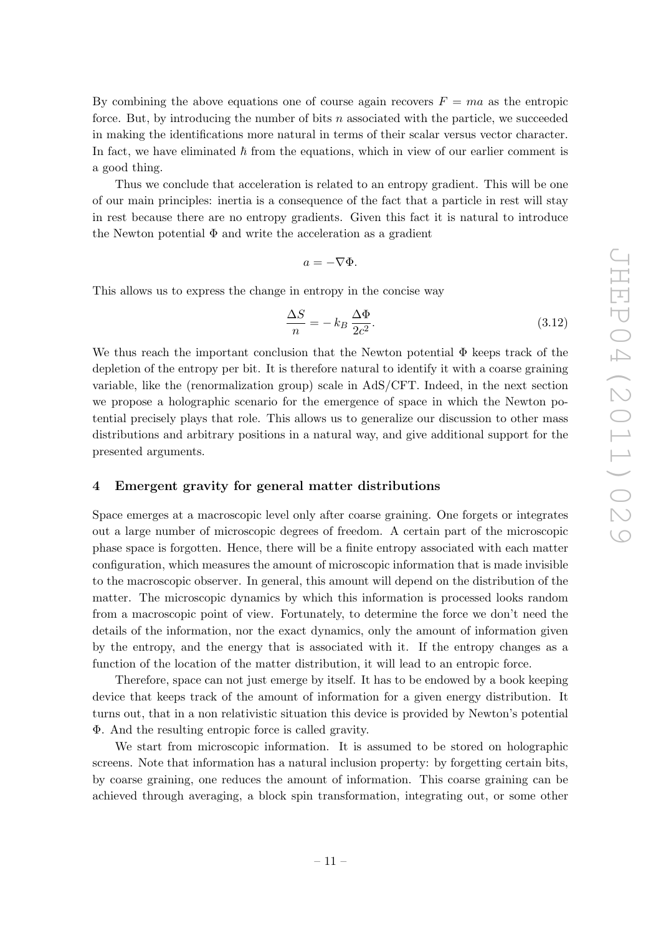By combining the above equations one of course again recovers  $F = ma$  as the entropic force. But, by introducing the number of bits n associated with the particle, we succeeded in making the identifications more natural in terms of their scalar versus vector character. In fact, we have eliminated  $\hbar$  from the equations, which in view of our earlier comment is a good thing.

Thus we conclude that acceleration is related to an entropy gradient. This will be one of our main principles: inertia is a consequence of the fact that a particle in rest will stay in rest because there are no entropy gradients. Given this fact it is natural to introduce the Newton potential  $\Phi$  and write the acceleration as a gradient

$$
a=-\nabla\Phi.
$$

This allows us to express the change in entropy in the concise way

<span id="page-11-1"></span>
$$
\frac{\Delta S}{n} = -k_B \frac{\Delta \Phi}{2c^2}.
$$
\n(3.12)

We thus reach the important conclusion that the Newton potential  $\Phi$  keeps track of the depletion of the entropy per bit. It is therefore natural to identify it with a coarse graining variable, like the (renormalization group) scale in AdS/CFT. Indeed, in the next section we propose a holographic scenario for the emergence of space in which the Newton potential precisely plays that role. This allows us to generalize our discussion to other mass distributions and arbitrary positions in a natural way, and give additional support for the presented arguments.

#### <span id="page-11-0"></span>4 Emergent gravity for general matter distributions

Space emerges at a macroscopic level only after coarse graining. One forgets or integrates out a large number of microscopic degrees of freedom. A certain part of the microscopic phase space is forgotten. Hence, there will be a finite entropy associated with each matter configuration, which measures the amount of microscopic information that is made invisible to the macroscopic observer. In general, this amount will depend on the distribution of the matter. The microscopic dynamics by which this information is processed looks random from a macroscopic point of view. Fortunately, to determine the force we don't need the details of the information, nor the exact dynamics, only the amount of information given by the entropy, and the energy that is associated with it. If the entropy changes as a function of the location of the matter distribution, it will lead to an entropic force.

Therefore, space can not just emerge by itself. It has to be endowed by a book keeping device that keeps track of the amount of information for a given energy distribution. It turns out, that in a non relativistic situation this device is provided by Newton's potential Φ. And the resulting entropic force is called gravity.

We start from microscopic information. It is assumed to be stored on holographic screens. Note that information has a natural inclusion property: by forgetting certain bits, by coarse graining, one reduces the amount of information. This coarse graining can be achieved through averaging, a block spin transformation, integrating out, or some other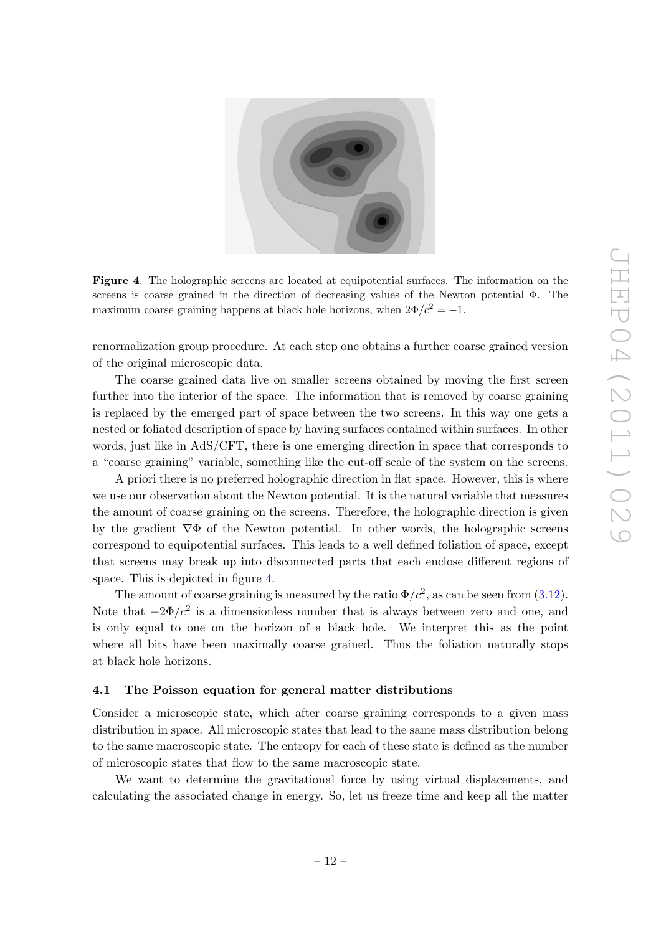

Figure 4. The holographic screens are located at equipotential surfaces. The information on the screens is coarse grained in the direction of decreasing values of the Newton potential Φ. The maximum coarse graining happens at black hole horizons, when  $2\Phi/c^2 = -1$ .

<span id="page-12-1"></span>renormalization group procedure. At each step one obtains a further coarse grained version of the original microscopic data.

The coarse grained data live on smaller screens obtained by moving the first screen further into the interior of the space. The information that is removed by coarse graining is replaced by the emerged part of space between the two screens. In this way one gets a nested or foliated description of space by having surfaces contained within surfaces. In other words, just like in AdS/CFT, there is one emerging direction in space that corresponds to a "coarse graining" variable, something like the cut-off scale of the system on the screens.

A priori there is no preferred holographic direction in flat space. However, this is where we use our observation about the Newton potential. It is the natural variable that measures the amount of coarse graining on the screens. Therefore, the holographic direction is given by the gradient  $\nabla \Phi$  of the Newton potential. In other words, the holographic screens correspond to equipotential surfaces. This leads to a well defined foliation of space, except that screens may break up into disconnected parts that each enclose different regions of space. This is depicted in figure [4.](#page-12-1)

The amount of coarse graining is measured by the ratio  $\Phi/c^2$ , as can be seen from [\(3.12\)](#page-11-1). Note that  $-2\Phi/c^2$  is a dimensionless number that is always between zero and one, and is only equal to one on the horizon of a black hole. We interpret this as the point where all bits have been maximally coarse grained. Thus the foliation naturally stops at black hole horizons.

#### <span id="page-12-0"></span>4.1 The Poisson equation for general matter distributions

Consider a microscopic state, which after coarse graining corresponds to a given mass distribution in space. All microscopic states that lead to the same mass distribution belong to the same macroscopic state. The entropy for each of these state is defined as the number of microscopic states that flow to the same macroscopic state.

We want to determine the gravitational force by using virtual displacements, and calculating the associated change in energy. So, let us freeze time and keep all the matter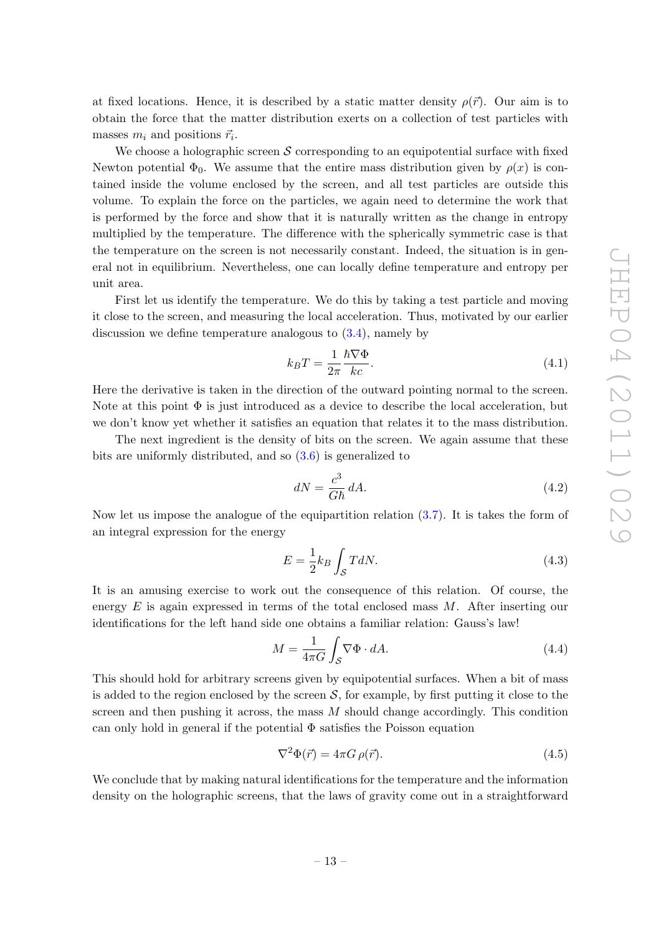at fixed locations. Hence, it is described by a static matter density  $\rho(\vec{r})$ . Our aim is to obtain the force that the matter distribution exerts on a collection of test particles with masses  $m_i$  and positions  $\vec{r}_i$ .

We choose a holographic screen  $S$  corresponding to an equipotential surface with fixed Newton potential  $\Phi_0$ . We assume that the entire mass distribution given by  $\rho(x)$  is contained inside the volume enclosed by the screen, and all test particles are outside this volume. To explain the force on the particles, we again need to determine the work that is performed by the force and show that it is naturally written as the change in entropy multiplied by the temperature. The difference with the spherically symmetric case is that the temperature on the screen is not necessarily constant. Indeed, the situation is in general not in equilibrium. Nevertheless, one can locally define temperature and entropy per unit area.

First let us identify the temperature. We do this by taking a test particle and moving it close to the screen, and measuring the local acceleration. Thus, motivated by our earlier discussion we define temperature analogous to [\(3.4\)](#page-7-2), namely by

$$
k_B T = \frac{1}{2\pi} \frac{\hbar \nabla \Phi}{kc}.
$$
\n(4.1)

Here the derivative is taken in the direction of the outward pointing normal to the screen. Note at this point  $\Phi$  is just introduced as a device to describe the local acceleration, but we don't know yet whether it satisfies an equation that relates it to the mass distribution.

The next ingredient is the density of bits on the screen. We again assume that these bits are uniformly distributed, and so [\(3.6\)](#page-8-1) is generalized to

<span id="page-13-0"></span>
$$
dN = \frac{c^3}{G\hbar} dA.
$$
\n(4.2)

Now let us impose the analogue of the equipartition relation [\(3.7\)](#page-8-2). It is takes the form of an integral expression for the energy

$$
E = \frac{1}{2}k_B \int_{\mathcal{S}} T dN. \tag{4.3}
$$

It is an amusing exercise to work out the consequence of this relation. Of course, the energy  $E$  is again expressed in terms of the total enclosed mass  $M$ . After inserting our identifications for the left hand side one obtains a familiar relation: Gauss's law!

$$
M = \frac{1}{4\pi G} \int_{\mathcal{S}} \nabla \Phi \cdot dA. \tag{4.4}
$$

This should hold for arbitrary screens given by equipotential surfaces. When a bit of mass is added to the region enclosed by the screen  $S$ , for example, by first putting it close to the screen and then pushing it across, the mass  $M$  should change accordingly. This condition can only hold in general if the potential  $\Phi$  satisfies the Poisson equation

$$
\nabla^2 \Phi(\vec{r}) = 4\pi G \,\rho(\vec{r}).\tag{4.5}
$$

We conclude that by making natural identifications for the temperature and the information density on the holographic screens, that the laws of gravity come out in a straightforward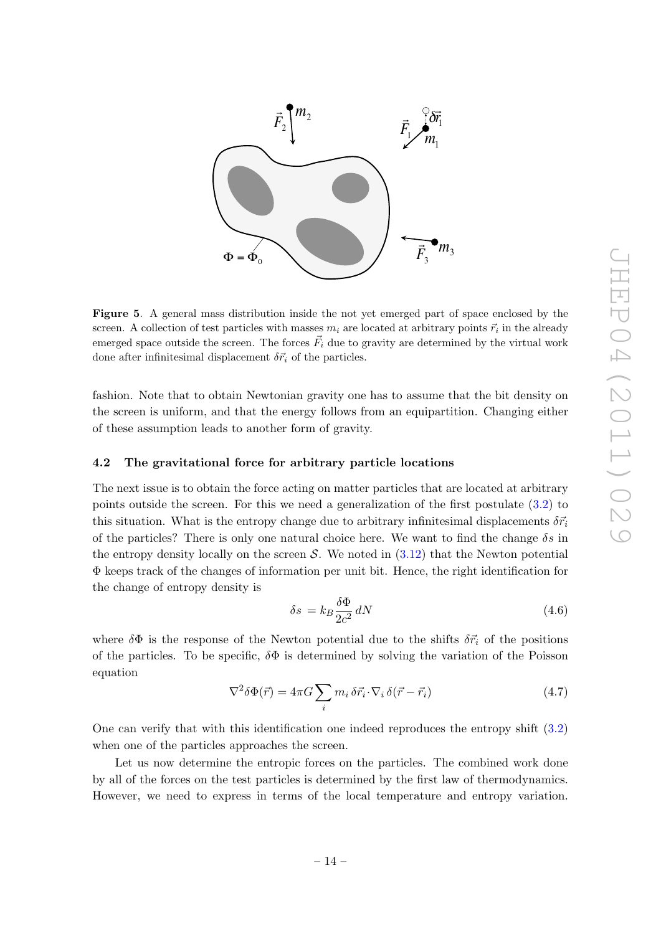

Figure 5. A general mass distribution inside the not yet emerged part of space enclosed by the screen. A collection of test particles with masses  $m_i$  are located at arbitrary points  $\vec{r}_i$  in the already emerged space outside the screen. The forces  $\vec{F}_i$  due to gravity are determined by the virtual work done after infinitesimal displacement  $\delta \vec{r}_i$  of the particles.

fashion. Note that to obtain Newtonian gravity one has to assume that the bit density on the screen is uniform, and that the energy follows from an equipartition. Changing either of these assumption leads to another form of gravity.

#### <span id="page-14-0"></span>4.2 The gravitational force for arbitrary particle locations

The next issue is to obtain the force acting on matter particles that are located at arbitrary points outside the screen. For this we need a generalization of the first postulate [\(3.2\)](#page-7-1) to this situation. What is the entropy change due to arbitrary infinitesimal displacements  $\delta \vec{r_i}$ of the particles? There is only one natural choice here. We want to find the change  $\delta s$  in the entropy density locally on the screen  $S$ . We noted in  $(3.12)$  that the Newton potential Φ keeps track of the changes of information per unit bit. Hence, the right identification for the change of entropy density is

$$
\delta s = k_B \frac{\delta \Phi}{2c^2} \, dN \tag{4.6}
$$

where  $\delta\Phi$  is the response of the Newton potential due to the shifts  $\delta\vec{r}_i$  of the positions of the particles. To be specific,  $\delta\Phi$  is determined by solving the variation of the Poisson equation

$$
\nabla^2 \delta \Phi(\vec{r}) = 4\pi G \sum_i m_i \delta \vec{r}_i \cdot \nabla_i \delta(\vec{r} - \vec{r}_i)
$$
\n(4.7)

One can verify that with this identification one indeed reproduces the entropy shift [\(3.2\)](#page-7-1) when one of the particles approaches the screen.

Let us now determine the entropic forces on the particles. The combined work done by all of the forces on the test particles is determined by the first law of thermodynamics. However, we need to express in terms of the local temperature and entropy variation.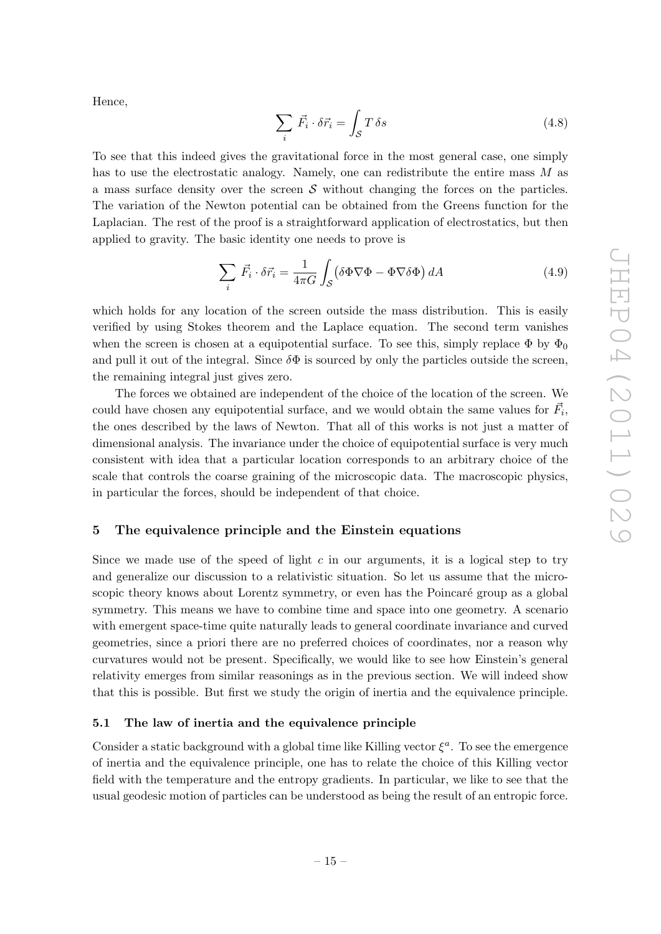Hence,

$$
\sum_{i} \vec{F_i} \cdot \delta \vec{r_i} = \int_{\mathcal{S}} T \,\delta s \tag{4.8}
$$

To see that this indeed gives the gravitational force in the most general case, one simply has to use the electrostatic analogy. Namely, one can redistribute the entire mass M as a mass surface density over the screen  $\mathcal S$  without changing the forces on the particles. The variation of the Newton potential can be obtained from the Greens function for the Laplacian. The rest of the proof is a straightforward application of electrostatics, but then applied to gravity. The basic identity one needs to prove is

$$
\sum_{i} \vec{F}_{i} \cdot \delta \vec{r}_{i} = \frac{1}{4\pi G} \int_{\mathcal{S}} (\delta \Phi \nabla \Phi - \Phi \nabla \delta \Phi) dA \tag{4.9}
$$

which holds for any location of the screen outside the mass distribution. This is easily verified by using Stokes theorem and the Laplace equation. The second term vanishes when the screen is chosen at a equipotential surface. To see this, simply replace  $\Phi$  by  $\Phi_0$ and pull it out of the integral. Since  $\delta\Phi$  is sourced by only the particles outside the screen, the remaining integral just gives zero.

The forces we obtained are independent of the choice of the location of the screen. We could have chosen any equipotential surface, and we would obtain the same values for  $\vec{F}_i$ , the ones described by the laws of Newton. That all of this works is not just a matter of dimensional analysis. The invariance under the choice of equipotential surface is very much consistent with idea that a particular location corresponds to an arbitrary choice of the scale that controls the coarse graining of the microscopic data. The macroscopic physics, in particular the forces, should be independent of that choice.

# <span id="page-15-0"></span>5 The equivalence principle and the Einstein equations

Since we made use of the speed of light c in our arguments, it is a logical step to try and generalize our discussion to a relativistic situation. So let us assume that the microscopic theory knows about Lorentz symmetry, or even has the Poincaré group as a global symmetry. This means we have to combine time and space into one geometry. A scenario with emergent space-time quite naturally leads to general coordinate invariance and curved geometries, since a priori there are no preferred choices of coordinates, nor a reason why curvatures would not be present. Specifically, we would like to see how Einstein's general relativity emerges from similar reasonings as in the previous section. We will indeed show that this is possible. But first we study the origin of inertia and the equivalence principle.

## <span id="page-15-1"></span>5.1 The law of inertia and the equivalence principle

Consider a static background with a global time like Killing vector  $\xi^a$ . To see the emergence of inertia and the equivalence principle, one has to relate the choice of this Killing vector field with the temperature and the entropy gradients. In particular, we like to see that the usual geodesic motion of particles can be understood as being the result of an entropic force.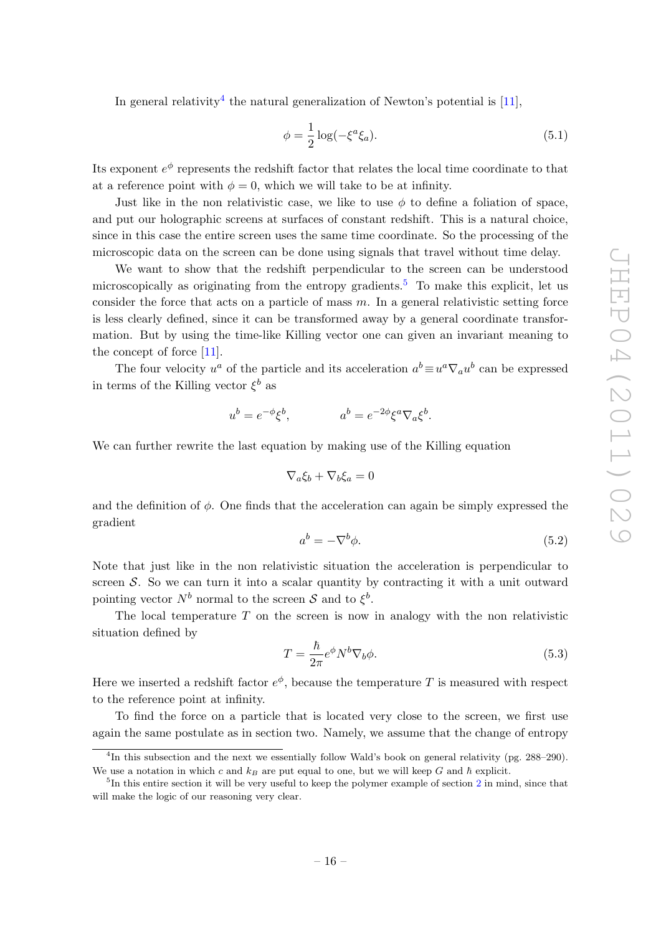In general relativity<sup>[4](#page-16-0)</sup> the natural generalization of Newton's potential is  $[11]$ ,

$$
\phi = \frac{1}{2}\log(-\xi^a \xi_a). \tag{5.1}
$$

Its exponent  $e^{\phi}$  represents the redshift factor that relates the local time coordinate to that at a reference point with  $\phi = 0$ , which we will take to be at infinity.

Just like in the non relativistic case, we like to use  $\phi$  to define a foliation of space, and put our holographic screens at surfaces of constant redshift. This is a natural choice, since in this case the entire screen uses the same time coordinate. So the processing of the microscopic data on the screen can be done using signals that travel without time delay.

We want to show that the redshift perpendicular to the screen can be understood microscopically as originating from the entropy gradients.<sup>[5](#page-16-1)</sup> To make this explicit, let us consider the force that acts on a particle of mass  $m$ . In a general relativistic setting force is less clearly defined, since it can be transformed away by a general coordinate transformation. But by using the time-like Killing vector one can given an invariant meaning to the concept of force [\[11\]](#page-26-7).

The four velocity  $u^a$  of the particle and its acceleration  $a^b \equiv u^a \nabla_a u^b$  can be expressed in terms of the Killing vector  $\xi^b$  as

$$
u^b = e^{-\phi} \xi^b, \qquad \qquad a^b = e^{-2\phi} \xi^a \nabla_a \xi^b.
$$

We can further rewrite the last equation by making use of the Killing equation

$$
\nabla_a \xi_b + \nabla_b \xi_a = 0
$$

and the definition of  $\phi$ . One finds that the acceleration can again be simply expressed the gradient

$$
a^b = -\nabla^b \phi. \tag{5.2}
$$

Note that just like in the non relativistic situation the acceleration is perpendicular to screen S. So we can turn it into a scalar quantity by contracting it with a unit outward pointing vector  $N^b$  normal to the screen S and to  $\xi^b$ .

The local temperature  $T$  on the screen is now in analogy with the non relativistic situation defined by

<span id="page-16-2"></span>
$$
T = \frac{\hbar}{2\pi} e^{\phi} N^b \nabla_b \phi.
$$
 (5.3)

Here we inserted a redshift factor  $e^{\phi}$ , because the temperature T is measured with respect to the reference point at infinity.

To find the force on a particle that is located very close to the screen, we first use again the same postulate as in section two. Namely, we assume that the change of entropy

<span id="page-16-0"></span><sup>&</sup>lt;sup>4</sup>In this subsection and the next we essentially follow Wald's book on general relativity (pg. 288–290). We use a notation in which c and  $k_B$  are put equal to one, but we will keep G and  $\hbar$  explicit.

<span id="page-16-1"></span><sup>&</sup>lt;sup>5</sup>In this entire section it will be very useful to keep the polymer example of section [2](#page-3-0) in mind, since that will make the logic of our reasoning very clear.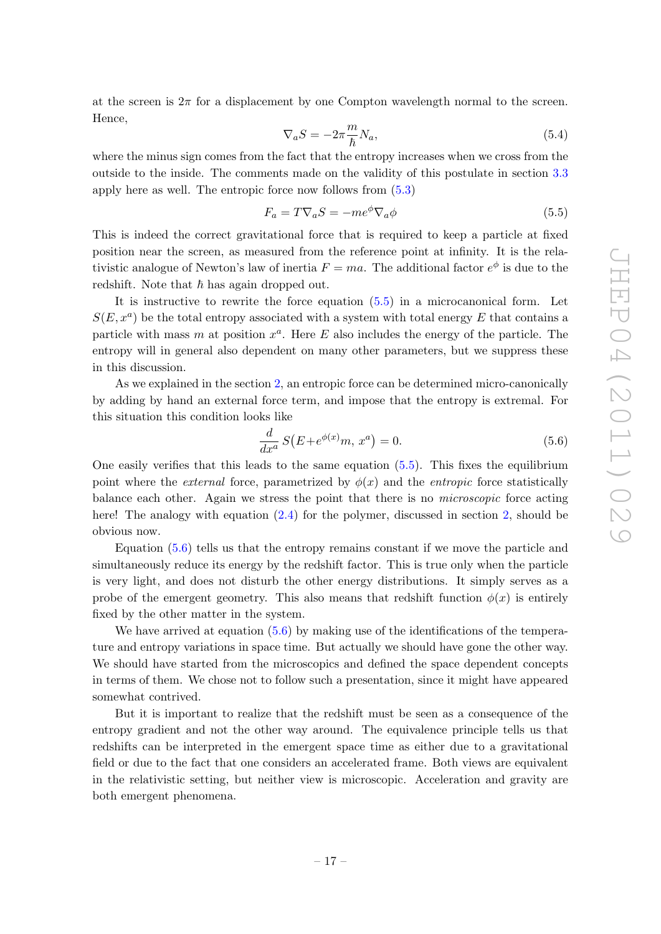at the screen is  $2\pi$  for a displacement by one Compton wavelength normal to the screen. Hence,

$$
\nabla_a S = -2\pi \frac{m}{\hbar} N_a,\tag{5.4}
$$

where the minus sign comes from the fact that the entropy increases when we cross from the outside to the inside. The comments made on the validity of this postulate in section [3.3](#page-9-0) apply here as well. The entropic force now follows from [\(5.3\)](#page-16-2)

<span id="page-17-0"></span>
$$
F_a = T \nabla_a S = -me^{\phi} \nabla_a \phi \tag{5.5}
$$

This is indeed the correct gravitational force that is required to keep a particle at fixed position near the screen, as measured from the reference point at infinity. It is the relativistic analogue of Newton's law of inertia  $F = ma$ . The additional factor  $e^{\phi}$  is due to the redshift. Note that  $\hbar$  has again dropped out.

It is instructive to rewrite the force equation [\(5.5\)](#page-17-0) in a microcanonical form. Let  $S(E, x^a)$  be the total entropy associated with a system with total energy E that contains a particle with mass m at position  $x^a$ . Here E also includes the energy of the particle. The entropy will in general also dependent on many other parameters, but we suppress these in this discussion.

As we explained in the section [2,](#page-3-0) an entropic force can be determined micro-canonically by adding by hand an external force term, and impose that the entropy is extremal. For this situation this condition looks like

<span id="page-17-1"></span>
$$
\frac{d}{dx^a} S(E + e^{\phi(x)} m, x^a) = 0.
$$
\n(5.6)

One easily verifies that this leads to the same equation  $(5.5)$ . This fixes the equilibrium point where the *external* force, parametrized by  $\phi(x)$  and the *entropic* force statistically balance each other. Again we stress the point that there is no microscopic force acting here! The analogy with equation  $(2.4)$  for the polymer, discussed in section [2,](#page-3-0) should be obvious now.

Equation [\(5.6\)](#page-17-1) tells us that the entropy remains constant if we move the particle and simultaneously reduce its energy by the redshift factor. This is true only when the particle is very light, and does not disturb the other energy distributions. It simply serves as a probe of the emergent geometry. This also means that redshift function  $\phi(x)$  is entirely fixed by the other matter in the system.

We have arrived at equation  $(5.6)$  by making use of the identifications of the temperature and entropy variations in space time. But actually we should have gone the other way. We should have started from the microscopics and defined the space dependent concepts in terms of them. We chose not to follow such a presentation, since it might have appeared somewhat contrived.

But it is important to realize that the redshift must be seen as a consequence of the entropy gradient and not the other way around. The equivalence principle tells us that redshifts can be interpreted in the emergent space time as either due to a gravitational field or due to the fact that one considers an accelerated frame. Both views are equivalent in the relativistic setting, but neither view is microscopic. Acceleration and gravity are both emergent phenomena.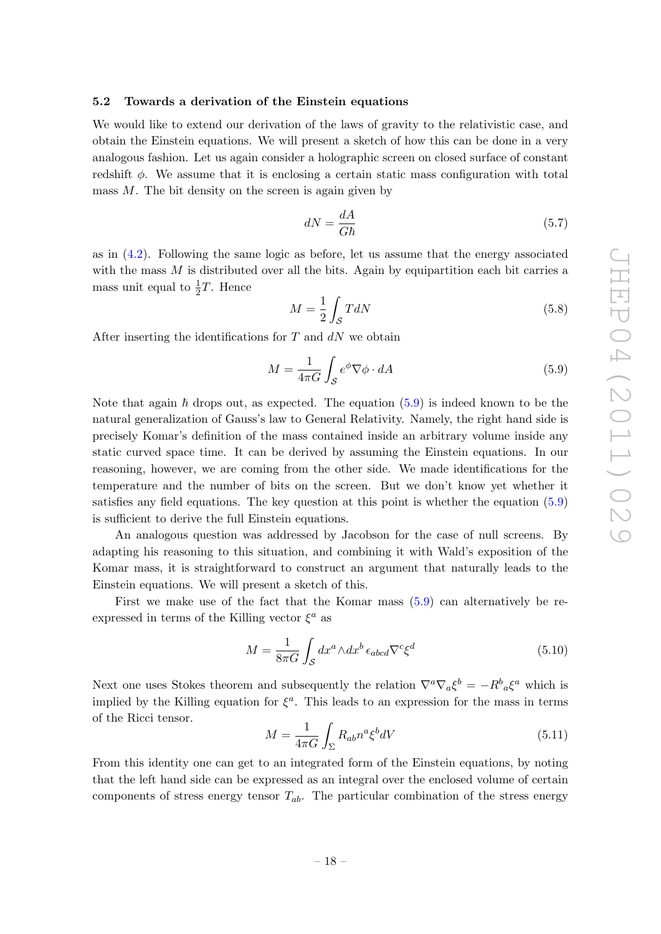## <span id="page-18-0"></span>5.2 Towards a derivation of the Einstein equations

We would like to extend our derivation of the laws of gravity to the relativistic case, and obtain the Einstein equations. We will present a sketch of how this can be done in a very analogous fashion. Let us again consider a holographic screen on closed surface of constant redshift  $\phi$ . We assume that it is enclosing a certain static mass configuration with total mass  $M$ . The bit density on the screen is again given by

$$
dN = \frac{dA}{G\hbar} \tag{5.7}
$$

as in [\(4.2\)](#page-13-0). Following the same logic as before, let us assume that the energy associated with the mass  $M$  is distributed over all the bits. Again by equipartition each bit carries a mass unit equal to  $\frac{1}{2}T$ . Hence

$$
M = \frac{1}{2} \int_{\mathcal{S}} T dN \tag{5.8}
$$

After inserting the identifications for  $T$  and  $dN$  we obtain

<span id="page-18-1"></span>
$$
M = \frac{1}{4\pi G} \int_{\mathcal{S}} e^{\phi} \nabla \phi \cdot dA \tag{5.9}
$$

Note that again  $\hbar$  drops out, as expected. The equation [\(5.9\)](#page-18-1) is indeed known to be the natural generalization of Gauss's law to General Relativity. Namely, the right hand side is precisely Komar's definition of the mass contained inside an arbitrary volume inside any static curved space time. It can be derived by assuming the Einstein equations. In our reasoning, however, we are coming from the other side. We made identifications for the temperature and the number of bits on the screen. But we don't know yet whether it satisfies any field equations. The key question at this point is whether the equation [\(5.9\)](#page-18-1) is sufficient to derive the full Einstein equations.

An analogous question was addressed by Jacobson for the case of null screens. By adapting his reasoning to this situation, and combining it with Wald's exposition of the Komar mass, it is straightforward to construct an argument that naturally leads to the Einstein equations. We will present a sketch of this.

First we make use of the fact that the Komar mass [\(5.9\)](#page-18-1) can alternatively be reexpressed in terms of the Killing vector  $\xi^a$  as

$$
M = \frac{1}{8\pi G} \int_{\mathcal{S}} dx^a \wedge dx^b \,\epsilon_{abcd} \nabla^c \xi^d \tag{5.10}
$$

Next one uses Stokes theorem and subsequently the relation  $\nabla^a \nabla_a \xi^b = -R^b{}_a \xi^a$  which is implied by the Killing equation for  $\xi^a$ . This leads to an expression for the mass in terms of the Ricci tensor.

$$
M = \frac{1}{4\pi G} \int_{\Sigma} R_{ab} n^a \xi^b dV \tag{5.11}
$$

From this identity one can get to an integrated form of the Einstein equations, by noting that the left hand side can be expressed as an integral over the enclosed volume of certain components of stress energy tensor  $T_{ab}$ . The particular combination of the stress energy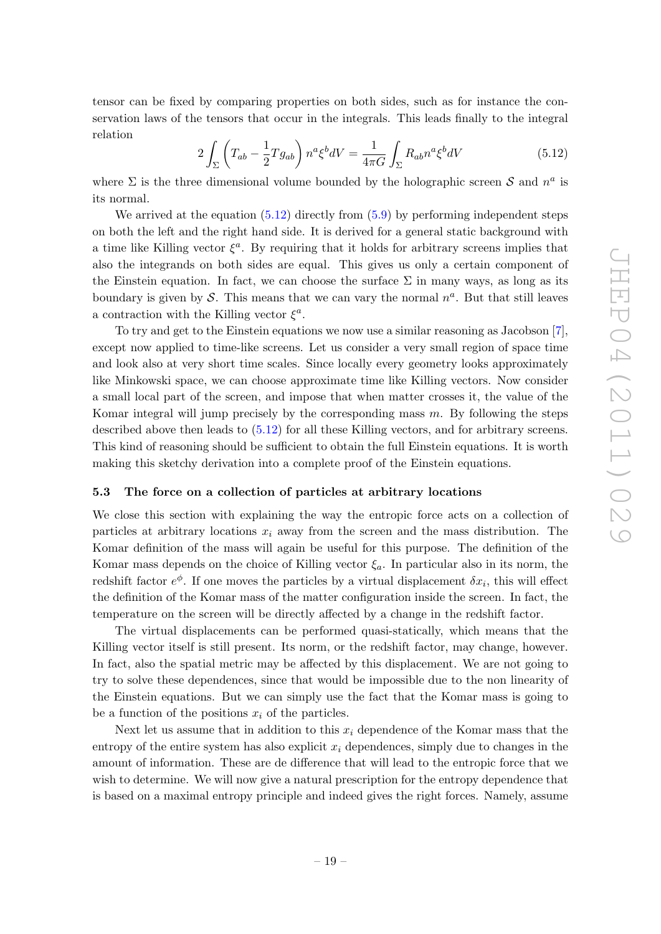tensor can be fixed by comparing properties on both sides, such as for instance the conservation laws of the tensors that occur in the integrals. This leads finally to the integral relation

<span id="page-19-1"></span>
$$
2\int_{\Sigma} \left(T_{ab} - \frac{1}{2}Tg_{ab}\right) n^a \xi^b dV = \frac{1}{4\pi G} \int_{\Sigma} R_{ab} n^a \xi^b dV \tag{5.12}
$$

where  $\Sigma$  is the three dimensional volume bounded by the holographic screen S and  $n^a$  is its normal.

We arrived at the equation  $(5.12)$  directly from  $(5.9)$  by performing independent steps on both the left and the right hand side. It is derived for a general static background with a time like Killing vector  $\xi^a$ . By requiring that it holds for arbitrary screens implies that also the integrands on both sides are equal. This gives us only a certain component of the Einstein equation. In fact, we can choose the surface  $\Sigma$  in many ways, as long as its boundary is given by S. This means that we can vary the normal  $n^a$ . But that still leaves a contraction with the Killing vector  $\xi^a$ .

To try and get to the Einstein equations we now use a similar reasoning as Jacobson [\[7\]](#page-26-1), except now applied to time-like screens. Let us consider a very small region of space time and look also at very short time scales. Since locally every geometry looks approximately like Minkowski space, we can choose approximate time like Killing vectors. Now consider a small local part of the screen, and impose that when matter crosses it, the value of the Komar integral will jump precisely by the corresponding mass  $m$ . By following the steps described above then leads to  $(5.12)$  for all these Killing vectors, and for arbitrary screens. This kind of reasoning should be sufficient to obtain the full Einstein equations. It is worth making this sketchy derivation into a complete proof of the Einstein equations.

# <span id="page-19-0"></span>5.3 The force on a collection of particles at arbitrary locations

We close this section with explaining the way the entropic force acts on a collection of particles at arbitrary locations  $x_i$  away from the screen and the mass distribution. The Komar definition of the mass will again be useful for this purpose. The definition of the Komar mass depends on the choice of Killing vector  $\xi_a$ . In particular also in its norm, the redshift factor  $e^{\phi}$ . If one moves the particles by a virtual displacement  $\delta x_i$ , this will effect the definition of the Komar mass of the matter configuration inside the screen. In fact, the temperature on the screen will be directly affected by a change in the redshift factor.

The virtual displacements can be performed quasi-statically, which means that the Killing vector itself is still present. Its norm, or the redshift factor, may change, however. In fact, also the spatial metric may be affected by this displacement. We are not going to try to solve these dependences, since that would be impossible due to the non linearity of the Einstein equations. But we can simply use the fact that the Komar mass is going to be a function of the positions  $x_i$  of the particles.

Next let us assume that in addition to this  $x_i$  dependence of the Komar mass that the entropy of the entire system has also explicit  $x_i$  dependences, simply due to changes in the amount of information. These are de difference that will lead to the entropic force that we wish to determine. We will now give a natural prescription for the entropy dependence that is based on a maximal entropy principle and indeed gives the right forces. Namely, assume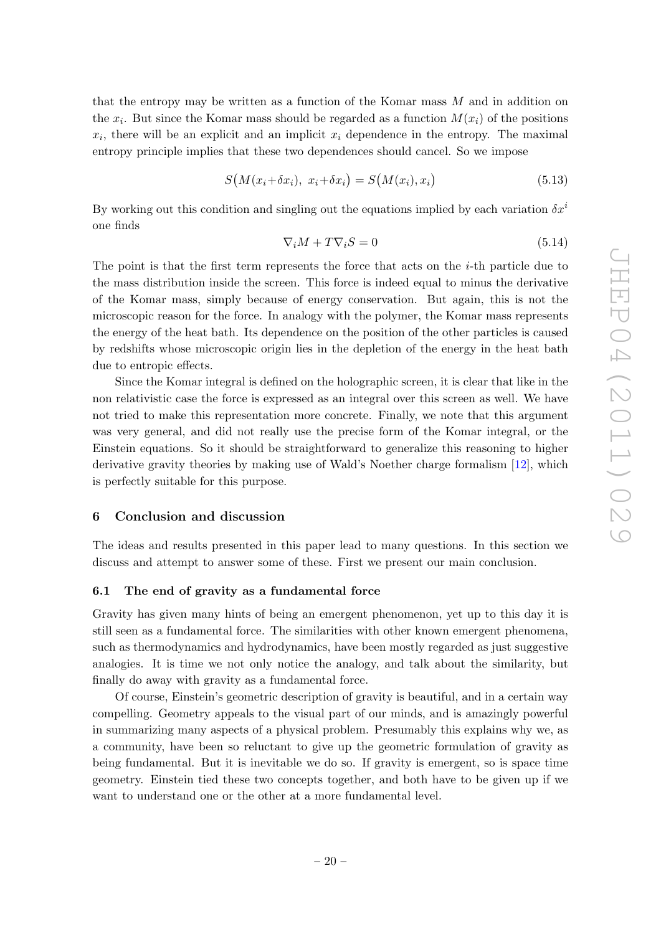that the entropy may be written as a function of the Komar mass  $M$  and in addition on the  $x_i$ . But since the Komar mass should be regarded as a function  $M(x_i)$  of the positions  $x_i$ , there will be an explicit and an implicit  $x_i$  dependence in the entropy. The maximal entropy principle implies that these two dependences should cancel. So we impose

$$
S(M(x_i + \delta x_i), x_i + \delta x_i) = S(M(x_i), x_i)
$$
\n
$$
(5.13)
$$

By working out this condition and singling out the equations implied by each variation  $\delta x^i$ one finds

$$
\nabla_i M + T \nabla_i S = 0 \tag{5.14}
$$

The point is that the first term represents the force that acts on the  $i$ -th particle due to the mass distribution inside the screen. This force is indeed equal to minus the derivative of the Komar mass, simply because of energy conservation. But again, this is not the microscopic reason for the force. In analogy with the polymer, the Komar mass represents the energy of the heat bath. Its dependence on the position of the other particles is caused by redshifts whose microscopic origin lies in the depletion of the energy in the heat bath due to entropic effects.

Since the Komar integral is defined on the holographic screen, it is clear that like in the non relativistic case the force is expressed as an integral over this screen as well. We have not tried to make this representation more concrete. Finally, we note that this argument was very general, and did not really use the precise form of the Komar integral, or the Einstein equations. So it should be straightforward to generalize this reasoning to higher derivative gravity theories by making use of Wald's Noether charge formalism [\[12\]](#page-26-8), which is perfectly suitable for this purpose.

#### <span id="page-20-0"></span>6 Conclusion and discussion

The ideas and results presented in this paper lead to many questions. In this section we discuss and attempt to answer some of these. First we present our main conclusion.

## <span id="page-20-1"></span>6.1 The end of gravity as a fundamental force

Gravity has given many hints of being an emergent phenomenon, yet up to this day it is still seen as a fundamental force. The similarities with other known emergent phenomena, such as thermodynamics and hydrodynamics, have been mostly regarded as just suggestive analogies. It is time we not only notice the analogy, and talk about the similarity, but finally do away with gravity as a fundamental force.

Of course, Einstein's geometric description of gravity is beautiful, and in a certain way compelling. Geometry appeals to the visual part of our minds, and is amazingly powerful in summarizing many aspects of a physical problem. Presumably this explains why we, as a community, have been so reluctant to give up the geometric formulation of gravity as being fundamental. But it is inevitable we do so. If gravity is emergent, so is space time geometry. Einstein tied these two concepts together, and both have to be given up if we want to understand one or the other at a more fundamental level.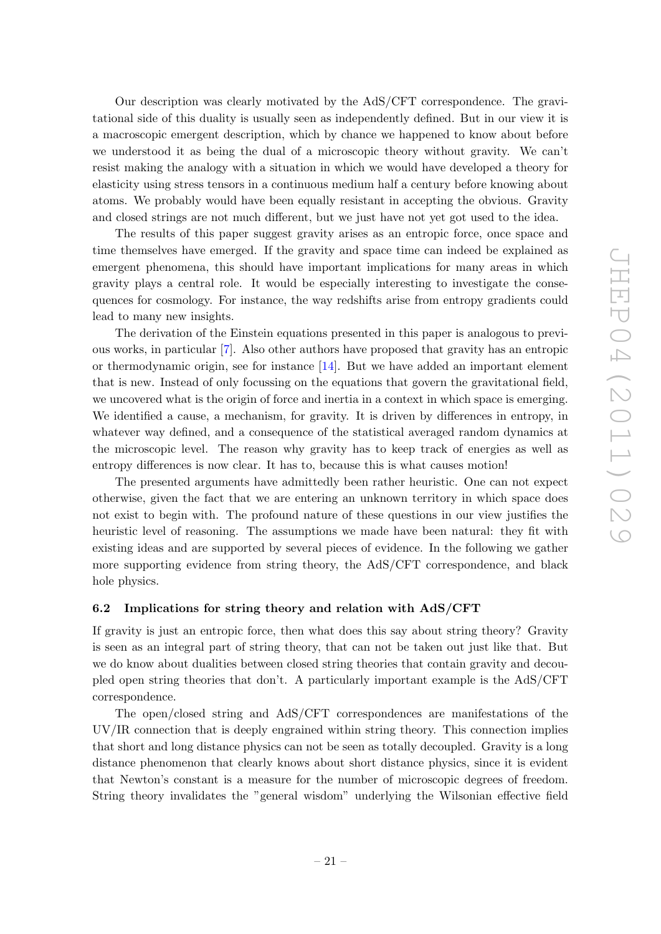Our description was clearly motivated by the AdS/CFT correspondence. The gravitational side of this duality is usually seen as independently defined. But in our view it is a macroscopic emergent description, which by chance we happened to know about before we understood it as being the dual of a microscopic theory without gravity. We can't resist making the analogy with a situation in which we would have developed a theory for elasticity using stress tensors in a continuous medium half a century before knowing about atoms. We probably would have been equally resistant in accepting the obvious. Gravity and closed strings are not much different, but we just have not yet got used to the idea.

The results of this paper suggest gravity arises as an entropic force, once space and time themselves have emerged. If the gravity and space time can indeed be explained as emergent phenomena, this should have important implications for many areas in which gravity plays a central role. It would be especially interesting to investigate the consequences for cosmology. For instance, the way redshifts arise from entropy gradients could lead to many new insights.

The derivation of the Einstein equations presented in this paper is analogous to previous works, in particular [\[7\]](#page-26-1). Also other authors have proposed that gravity has an entropic or thermodynamic origin, see for instance [\[14\]](#page-26-9). But we have added an important element that is new. Instead of only focussing on the equations that govern the gravitational field, we uncovered what is the origin of force and inertia in a context in which space is emerging. We identified a cause, a mechanism, for gravity. It is driven by differences in entropy, in whatever way defined, and a consequence of the statistical averaged random dynamics at the microscopic level. The reason why gravity has to keep track of energies as well as entropy differences is now clear. It has to, because this is what causes motion!

The presented arguments have admittedly been rather heuristic. One can not expect otherwise, given the fact that we are entering an unknown territory in which space does not exist to begin with. The profound nature of these questions in our view justifies the heuristic level of reasoning. The assumptions we made have been natural: they fit with existing ideas and are supported by several pieces of evidence. In the following we gather more supporting evidence from string theory, the AdS/CFT correspondence, and black hole physics.

# <span id="page-21-0"></span>6.2 Implications for string theory and relation with AdS/CFT

If gravity is just an entropic force, then what does this say about string theory? Gravity is seen as an integral part of string theory, that can not be taken out just like that. But we do know about dualities between closed string theories that contain gravity and decoupled open string theories that don't. A particularly important example is the AdS/CFT correspondence.

The open/closed string and AdS/CFT correspondences are manifestations of the UV/IR connection that is deeply engrained within string theory. This connection implies that short and long distance physics can not be seen as totally decoupled. Gravity is a long distance phenomenon that clearly knows about short distance physics, since it is evident that Newton's constant is a measure for the number of microscopic degrees of freedom. String theory invalidates the "general wisdom" underlying the Wilsonian effective field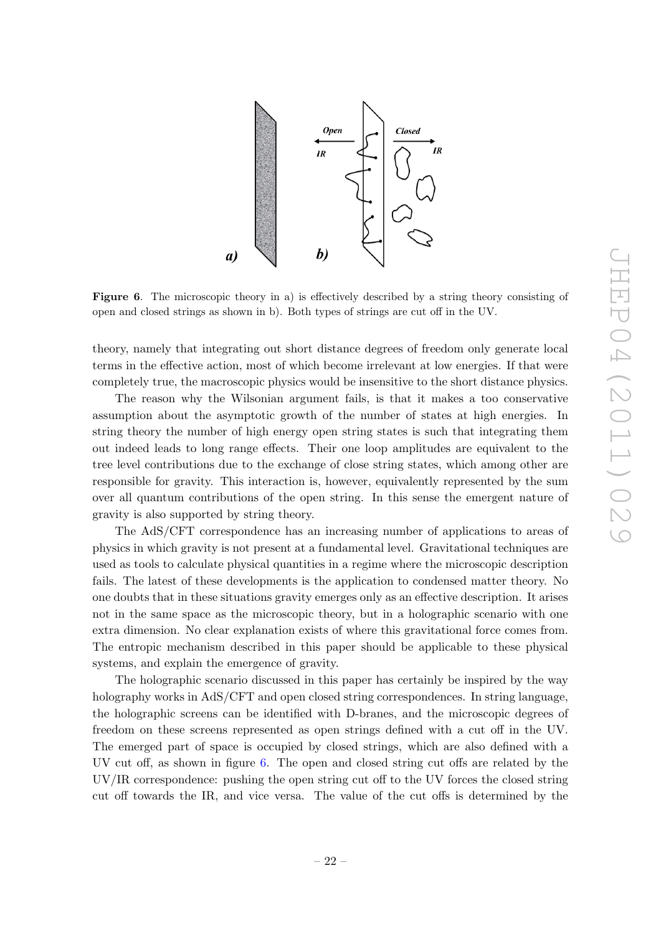

<span id="page-22-0"></span>Figure 6. The microscopic theory in a) is effectively described by a string theory consisting of open and closed strings as shown in b). Both types of strings are cut off in the UV.

theory, namely that integrating out short distance degrees of freedom only generate local terms in the effective action, most of which become irrelevant at low energies. If that were completely true, the macroscopic physics would be insensitive to the short distance physics.

The reason why the Wilsonian argument fails, is that it makes a too conservative assumption about the asymptotic growth of the number of states at high energies. In string theory the number of high energy open string states is such that integrating them out indeed leads to long range effects. Their one loop amplitudes are equivalent to the tree level contributions due to the exchange of close string states, which among other are responsible for gravity. This interaction is, however, equivalently represented by the sum over all quantum contributions of the open string. In this sense the emergent nature of gravity is also supported by string theory.

The AdS/CFT correspondence has an increasing number of applications to areas of physics in which gravity is not present at a fundamental level. Gravitational techniques are used as tools to calculate physical quantities in a regime where the microscopic description fails. The latest of these developments is the application to condensed matter theory. No one doubts that in these situations gravity emerges only as an effective description. It arises not in the same space as the microscopic theory, but in a holographic scenario with one extra dimension. No clear explanation exists of where this gravitational force comes from. The entropic mechanism described in this paper should be applicable to these physical systems, and explain the emergence of gravity.

The holographic scenario discussed in this paper has certainly be inspired by the way holography works in AdS/CFT and open closed string correspondences. In string language, the holographic screens can be identified with D-branes, and the microscopic degrees of freedom on these screens represented as open strings defined with a cut off in the UV. The emerged part of space is occupied by closed strings, which are also defined with a UV cut off, as shown in figure [6.](#page-22-0) The open and closed string cut offs are related by the UV/IR correspondence: pushing the open string cut off to the UV forces the closed string cut off towards the IR, and vice versa. The value of the cut offs is determined by the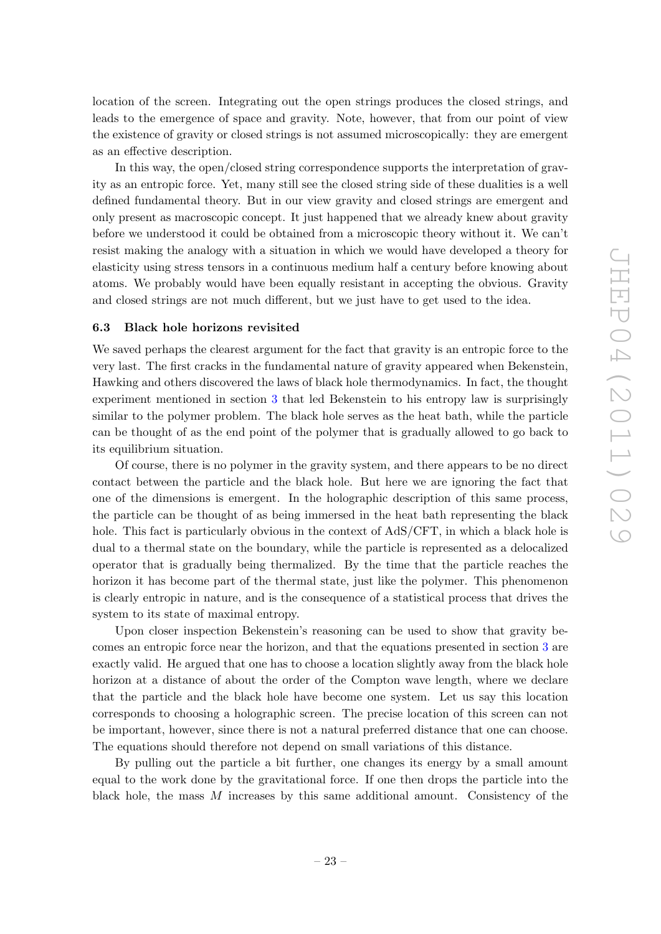location of the screen. Integrating out the open strings produces the closed strings, and leads to the emergence of space and gravity. Note, however, that from our point of view the existence of gravity or closed strings is not assumed microscopically: they are emergent as an effective description.

In this way, the open/closed string correspondence supports the interpretation of gravity as an entropic force. Yet, many still see the closed string side of these dualities is a well defined fundamental theory. But in our view gravity and closed strings are emergent and only present as macroscopic concept. It just happened that we already knew about gravity before we understood it could be obtained from a microscopic theory without it. We can't resist making the analogy with a situation in which we would have developed a theory for elasticity using stress tensors in a continuous medium half a century before knowing about atoms. We probably would have been equally resistant in accepting the obvious. Gravity and closed strings are not much different, but we just have to get used to the idea.

#### <span id="page-23-0"></span>6.3 Black hole horizons revisited

We saved perhaps the clearest argument for the fact that gravity is an entropic force to the very last. The first cracks in the fundamental nature of gravity appeared when Bekenstein, Hawking and others discovered the laws of black hole thermodynamics. In fact, the thought experiment mentioned in section [3](#page-5-0) that led Bekenstein to his entropy law is surprisingly similar to the polymer problem. The black hole serves as the heat bath, while the particle can be thought of as the end point of the polymer that is gradually allowed to go back to its equilibrium situation.

Of course, there is no polymer in the gravity system, and there appears to be no direct contact between the particle and the black hole. But here we are ignoring the fact that one of the dimensions is emergent. In the holographic description of this same process, the particle can be thought of as being immersed in the heat bath representing the black hole. This fact is particularly obvious in the context of AdS/CFT, in which a black hole is dual to a thermal state on the boundary, while the particle is represented as a delocalized operator that is gradually being thermalized. By the time that the particle reaches the horizon it has become part of the thermal state, just like the polymer. This phenomenon is clearly entropic in nature, and is the consequence of a statistical process that drives the system to its state of maximal entropy.

Upon closer inspection Bekenstein's reasoning can be used to show that gravity becomes an entropic force near the horizon, and that the equations presented in section [3](#page-5-0) are exactly valid. He argued that one has to choose a location slightly away from the black hole horizon at a distance of about the order of the Compton wave length, where we declare that the particle and the black hole have become one system. Let us say this location corresponds to choosing a holographic screen. The precise location of this screen can not be important, however, since there is not a natural preferred distance that one can choose. The equations should therefore not depend on small variations of this distance.

By pulling out the particle a bit further, one changes its energy by a small amount equal to the work done by the gravitational force. If one then drops the particle into the black hole, the mass  $M$  increases by this same additional amount. Consistency of the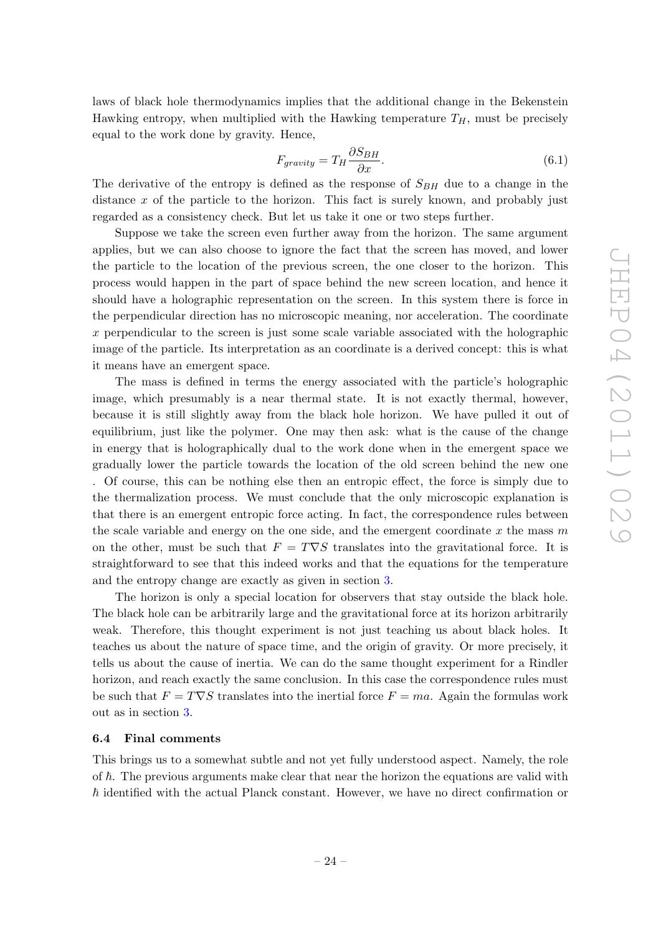laws of black hole thermodynamics implies that the additional change in the Bekenstein Hawking entropy, when multiplied with the Hawking temperature  $T_H$ , must be precisely equal to the work done by gravity. Hence,

$$
F_{gravity} = T_H \frac{\partial S_{BH}}{\partial x}.
$$
\n(6.1)

The derivative of the entropy is defined as the response of  $S_{BH}$  due to a change in the distance  $x$  of the particle to the horizon. This fact is surely known, and probably just regarded as a consistency check. But let us take it one or two steps further.

Suppose we take the screen even further away from the horizon. The same argument applies, but we can also choose to ignore the fact that the screen has moved, and lower the particle to the location of the previous screen, the one closer to the horizon. This process would happen in the part of space behind the new screen location, and hence it should have a holographic representation on the screen. In this system there is force in the perpendicular direction has no microscopic meaning, nor acceleration. The coordinate  $x$  perpendicular to the screen is just some scale variable associated with the holographic image of the particle. Its interpretation as an coordinate is a derived concept: this is what it means have an emergent space.

The mass is defined in terms the energy associated with the particle's holographic image, which presumably is a near thermal state. It is not exactly thermal, however, because it is still slightly away from the black hole horizon. We have pulled it out of equilibrium, just like the polymer. One may then ask: what is the cause of the change in energy that is holographically dual to the work done when in the emergent space we gradually lower the particle towards the location of the old screen behind the new one . Of course, this can be nothing else then an entropic effect, the force is simply due to the thermalization process. We must conclude that the only microscopic explanation is that there is an emergent entropic force acting. In fact, the correspondence rules between the scale variable and energy on the one side, and the emergent coordinate  $x$  the mass  $m$ on the other, must be such that  $F = T \nabla S$  translates into the gravitational force. It is straightforward to see that this indeed works and that the equations for the temperature and the entropy change are exactly as given in section [3.](#page-5-0)

The horizon is only a special location for observers that stay outside the black hole. The black hole can be arbitrarily large and the gravitational force at its horizon arbitrarily weak. Therefore, this thought experiment is not just teaching us about black holes. It teaches us about the nature of space time, and the origin of gravity. Or more precisely, it tells us about the cause of inertia. We can do the same thought experiment for a Rindler horizon, and reach exactly the same conclusion. In this case the correspondence rules must be such that  $F = T\nabla S$  translates into the inertial force  $F = ma$ . Again the formulas work out as in section [3.](#page-5-0)

# <span id="page-24-0"></span>6.4 Final comments

This brings us to a somewhat subtle and not yet fully understood aspect. Namely, the role of  $\hbar$ . The previous arguments make clear that near the horizon the equations are valid with  $\hbar$  identified with the actual Planck constant. However, we have no direct confirmation or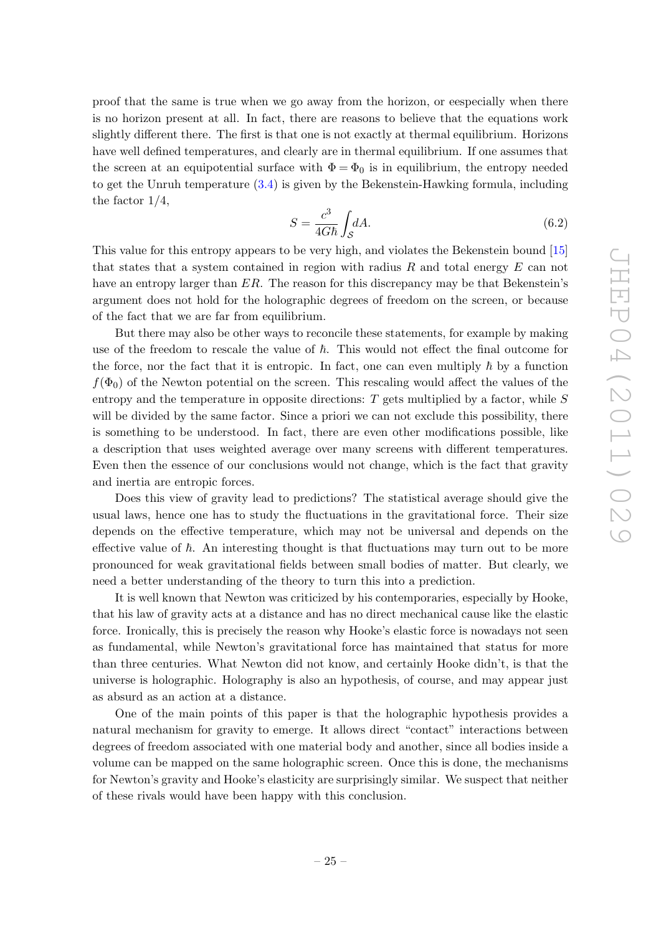proof that the same is true when we go away from the horizon, or eespecially when there is no horizon present at all. In fact, there are reasons to believe that the equations work slightly different there. The first is that one is not exactly at thermal equilibrium. Horizons have well defined temperatures, and clearly are in thermal equilibrium. If one assumes that the screen at an equipotential surface with  $\Phi = \Phi_0$  is in equilibrium, the entropy needed to get the Unruh temperature [\(3.4\)](#page-7-2) is given by the Bekenstein-Hawking formula, including the factor 1/4,

$$
S = \frac{c^3}{4G\hbar} \int_{\mathcal{S}} dA. \tag{6.2}
$$

This value for this entropy appears to be very high, and violates the Bekenstein bound [\[15\]](#page-26-10) that states that a system contained in region with radius  $R$  and total energy  $E$  can not have an entropy larger than ER. The reason for this discrepancy may be that Bekenstein's argument does not hold for the holographic degrees of freedom on the screen, or because of the fact that we are far from equilibrium.

But there may also be other ways to reconcile these statements, for example by making use of the freedom to rescale the value of  $\hbar$ . This would not effect the final outcome for the force, nor the fact that it is entropic. In fact, one can even multiply  $\hbar$  by a function  $f(\Phi_0)$  of the Newton potential on the screen. This rescaling would affect the values of the entropy and the temperature in opposite directions:  $T$  gets multiplied by a factor, while  $S$ will be divided by the same factor. Since a priori we can not exclude this possibility, there is something to be understood. In fact, there are even other modifications possible, like a description that uses weighted average over many screens with different temperatures. Even then the essence of our conclusions would not change, which is the fact that gravity and inertia are entropic forces.

Does this view of gravity lead to predictions? The statistical average should give the usual laws, hence one has to study the fluctuations in the gravitational force. Their size depends on the effective temperature, which may not be universal and depends on the effective value of  $\hbar$ . An interesting thought is that fluctuations may turn out to be more pronounced for weak gravitational fields between small bodies of matter. But clearly, we need a better understanding of the theory to turn this into a prediction.

It is well known that Newton was criticized by his contemporaries, especially by Hooke, that his law of gravity acts at a distance and has no direct mechanical cause like the elastic force. Ironically, this is precisely the reason why Hooke's elastic force is nowadays not seen as fundamental, while Newton's gravitational force has maintained that status for more than three centuries. What Newton did not know, and certainly Hooke didn't, is that the universe is holographic. Holography is also an hypothesis, of course, and may appear just as absurd as an action at a distance.

One of the main points of this paper is that the holographic hypothesis provides a natural mechanism for gravity to emerge. It allows direct "contact" interactions between degrees of freedom associated with one material body and another, since all bodies inside a volume can be mapped on the same holographic screen. Once this is done, the mechanisms for Newton's gravity and Hooke's elasticity are surprisingly similar. We suspect that neither of these rivals would have been happy with this conclusion.